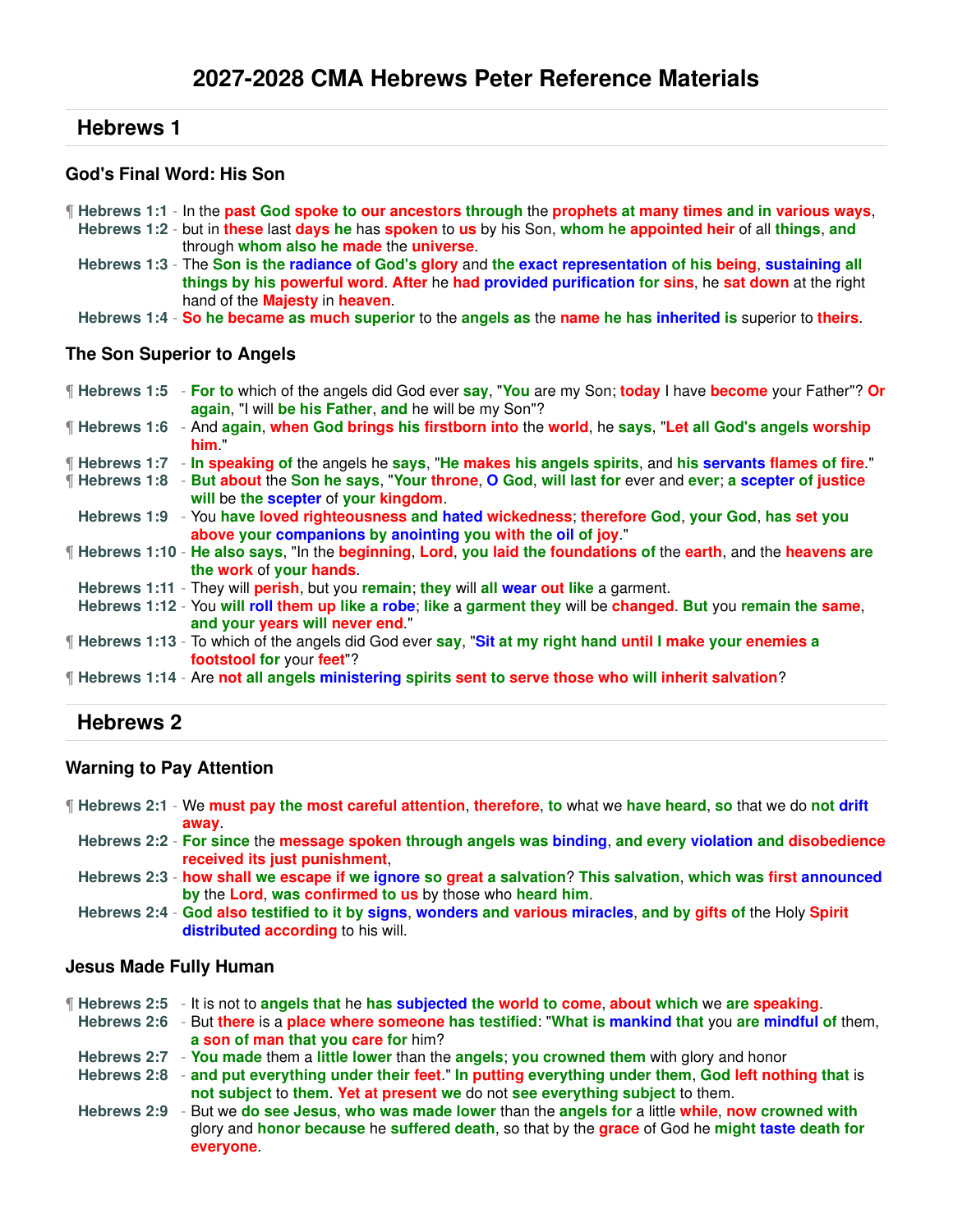#### **God's Final Word: His Son**

- ¶ **Hebrews 1:1** In the **past God spoke to our ancestors through** the **prophets at many times and in various ways**,
	- **Hebrews 1:2** but in **these** last **days he** has **spoken** to **us** by his Son, **whom he appointed heir** of all **things**, **and** through **whom also he made** the **universe**.
	- **Hebrews 1:3** The **Son is the radiance of God's glory** and **the exact representation of his being**, **sustaining all things by his powerful word**. **After** he **had provided purification for sins**, he **sat down** at the right hand of the **Majesty** in **heaven**.

**Hebrews 1:4** - **So he became as much superior** to the **angels as** the **name he has inherited is** superior to **theirs**.

#### **The Son Superior to Angels**

| <b>Follogier 1:5</b> - For to which of the angels did God ever say, "You are my Son; today I have become your Father"? Or<br>again, "I will be his Father, and he will be my Son"? |
|------------------------------------------------------------------------------------------------------------------------------------------------------------------------------------|
| If Hebrews 1:6 - And again, when God brings his firstborn into the world, he says, "Let all God's angels worship<br>him "                                                          |
| "Hebrews 1:7 - In speaking of the angels he says, "He makes his angels spirits, and his servants flames of fire."                                                                  |
| Hebrews 1:8 - But about the Son he says, "Your throne, O God, will last for ever and ever; a scepter of justice<br>will be the scepter of your kingdom.                            |
| Hebrews 1:9 - You have loved righteousness and hated wickedness; therefore God, your God, has set you<br>above your companions by anointing you with the oil of joy."              |
| <b>F</b> Hebrews 1:10 - He also says, "In the beginning, Lord, you laid the foundations of the earth, and the heavens are<br>the work of your hands.                               |
| Hebrews 1:11 - They will perish, but you remain; they will all wear out like a garment.                                                                                            |
| Hebrews 1:12 - You will roll them up like a robe; like a garment they will be changed. But you remain the same,<br>and your years will never end."                                 |
| If Hebrews 1:13 - To which of the angels did God ever say, "Sit at my right hand until I make your enemies a<br>footstool for your feet"?                                          |
| [Hebrews 1:14 - Are not all angels ministering spirits sent to serve those who will inherit salvation?                                                                             |

## **Hebrews 2**

### **Warning to Pay Attention**

- ¶ **Hebrews 2:1** We **must pay the most careful attention**, **therefore**, **to** what we **have heard**, **so** that we do **not drift away**.
	- **Hebrews 2:2 For since** the **message spoken through angels was binding**, **and every violation and disobedience received its just punishment**,
	- **Hebrews 2:3 how shall we escape if we ignore so great a salvation**? **This salvation**, **which was first announced by** the **Lord**, **was confirmed to us** by those who **heard him**.
	- **Hebrews 2:4 God also testified to it by signs**, **wonders and various miracles**, **and by gifts of** the Holy **Spirit distributed according** to his will.

#### **Jesus Made Fully Human**

- ¶ **Hebrews 2:5** It is not to **angels that** he **has subjected the world to come**, **about which** we **are speaking**.
- **Hebrews 2:6** But **there** is a **place where someone has testified**: "**What is mankind that** you **are mindful of** them, **a son of man that you care for** him?
- **Hebrews 2:7 You made** them a **little lower** than the **angels**; **you crowned them** with glory and honor
- **Hebrews 2:8 and put everything under their feet**." **In putting everything under them**, **God left nothing that** is **not subject** to **them**. **Yet at present we** do not **see everything subject** to them.
- **Hebrews 2:9** But we **do see Jesus**, **who was made lower** than the **angels for** a little **while**, **now crowned with** glory and **honor because** he **suffered death**, so that by the **grace** of God he **might taste death for everyone**.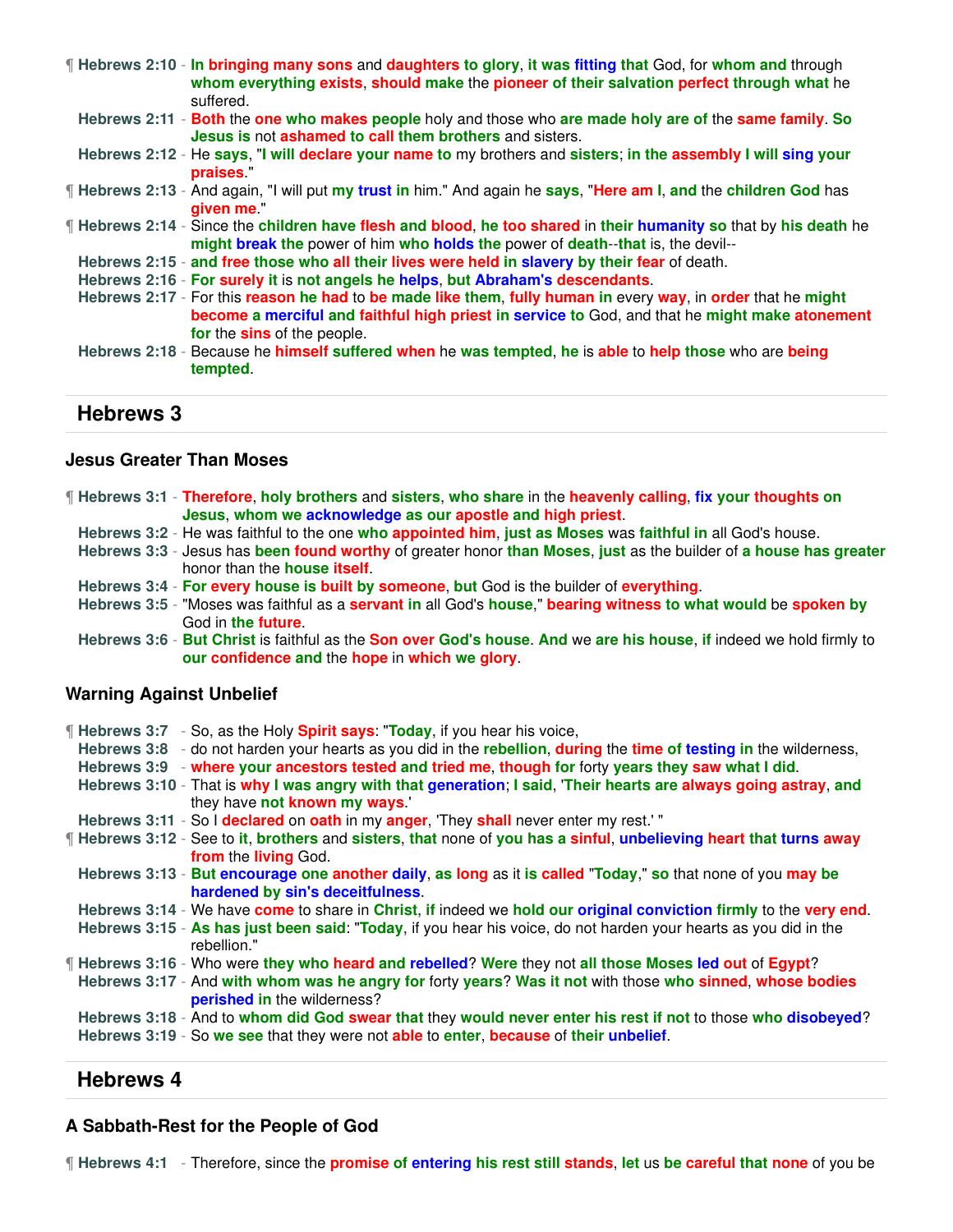| <b>If Hebrews 2:10 - In bringing many sons</b> and daughters to glory, it was fitting that God, for whom and through<br>whom everything exists, should make the pioneer of their salvation perfect through what he<br>suffered.               |
|-----------------------------------------------------------------------------------------------------------------------------------------------------------------------------------------------------------------------------------------------|
| Hebrews 2:11 - Both the one who makes people holy and those who are made holy are of the same family. So<br>Jesus is not ashamed to call them brothers and sisters.                                                                           |
| Hebrews 2:12 - He says, "I will declare your name to my brothers and sisters; in the assembly I will sing your<br>praises."                                                                                                                   |
| <b>Fill Hebrews 2:13 - And again, "I will put my trust in him." And again he says, "Here am I, and the children God has</b><br>given me."                                                                                                     |
| If Hebrews 2:14 - Since the children have flesh and blood, he too shared in their humanity so that by his death he<br>might break the power of him who holds the power of death--that is, the devil--                                         |
| Hebrews 2:15 - and free those who all their lives were held in slavery by their fear of death.                                                                                                                                                |
| Hebrews 2:16 - For surely it is not angels he helps, but Abraham's descendants.                                                                                                                                                               |
| Hebrews 2:17 - For this reason he had to be made like them, fully human in every way, in order that he might<br>become a merciful and faithful high priest in service to God, and that he might make atonement<br>for the sins of the people. |
| Hebrews 2:18 - Because he himself suffered when he was tempted, he is able to help those who are being<br>tempted.                                                                                                                            |

#### **Jesus Greater Than Moses**

| If Hebrews 3:1 - Therefore, holy brothers and sisters, who share in the heavenly calling, fix your thoughts on |
|----------------------------------------------------------------------------------------------------------------|
| Jesus, whom we acknowledge as our apostle and high priest.                                                     |

- **Hebrews 3:2** He was faithful to the one **who appointed him**, **just as Moses** was **faithful in** all God's house.
- **Hebrews 3:3** Jesus has **been found worthy** of greater honor **than Moses**, **just** as the builder of **a house has greater** honor than the **house itself**.
- **Hebrews 3:4 For every house is built by someone**, **but** God is the builder of **everything**.
- **Hebrews 3:5** "Moses was faithful as a **servant in** all God's **house**," **bearing witness to what would** be **spoken by** God in **the future**.
- **Hebrews 3:6 But Christ** is faithful as the **Son over God's house**. **And** we **are his house**, **if** indeed we hold firmly to **our confidence and** the **hope** in **which we glory**.

#### **Warning Against Unbelief**

| <b>Hebrews 3:7</b> - So, as the Holy <b>Spirit says: "Today</b> , if you hear his voice,<br>Hebrews 3:8 - do not harden your hearts as you did in the rebellion, during the time of testing in the wilderness,<br>Hebrews 3:9 - where your ancestors tested and tried me, though for forty years they saw what I did. |
|-----------------------------------------------------------------------------------------------------------------------------------------------------------------------------------------------------------------------------------------------------------------------------------------------------------------------|
| Hebrews 3:10 - That is why I was angry with that generation; I said, 'Their hearts are always going astray, and<br>they have not known my ways.'                                                                                                                                                                      |
| Hebrews 3:11 - So I declared on oath in my anger, 'They shall never enter my rest.'"                                                                                                                                                                                                                                  |
| If Hebrews 3:12 - See to it, brothers and sisters, that none of you has a sinful, unbelieving heart that turns away<br>from the living God.                                                                                                                                                                           |
| Hebrews 3:13 - But encourage one another daily, as long as it is called "Today," so that none of you may be<br>hardened by sin's deceitfulness.                                                                                                                                                                       |
| Hebrews 3:14 - We have come to share in Christ, if indeed we hold our original conviction firmly to the very end.                                                                                                                                                                                                     |
| Hebrews 3:15 - As has just been said: "Today, if you hear his voice, do not harden your hearts as you did in the<br>rebellion."                                                                                                                                                                                       |
| If Hebrews 3:16 - Who were they who heard and rebelled? Were they not all those Moses led out of Egypt?                                                                                                                                                                                                               |
| Hebrews 3:17 - And with whom was he angry for forty years? Was it not with those who sinned, whose bodies<br>perished in the wilderness?                                                                                                                                                                              |
| Hebrews 3:18 - And to whom did God swear that they would never enter his rest if not to those who disobeyed?                                                                                                                                                                                                          |
| Hebrews 3:19 - So we see that they were not able to enter, because of their unbelief.                                                                                                                                                                                                                                 |

## **Hebrews 4**

#### **A Sabbath-Rest for the People of God**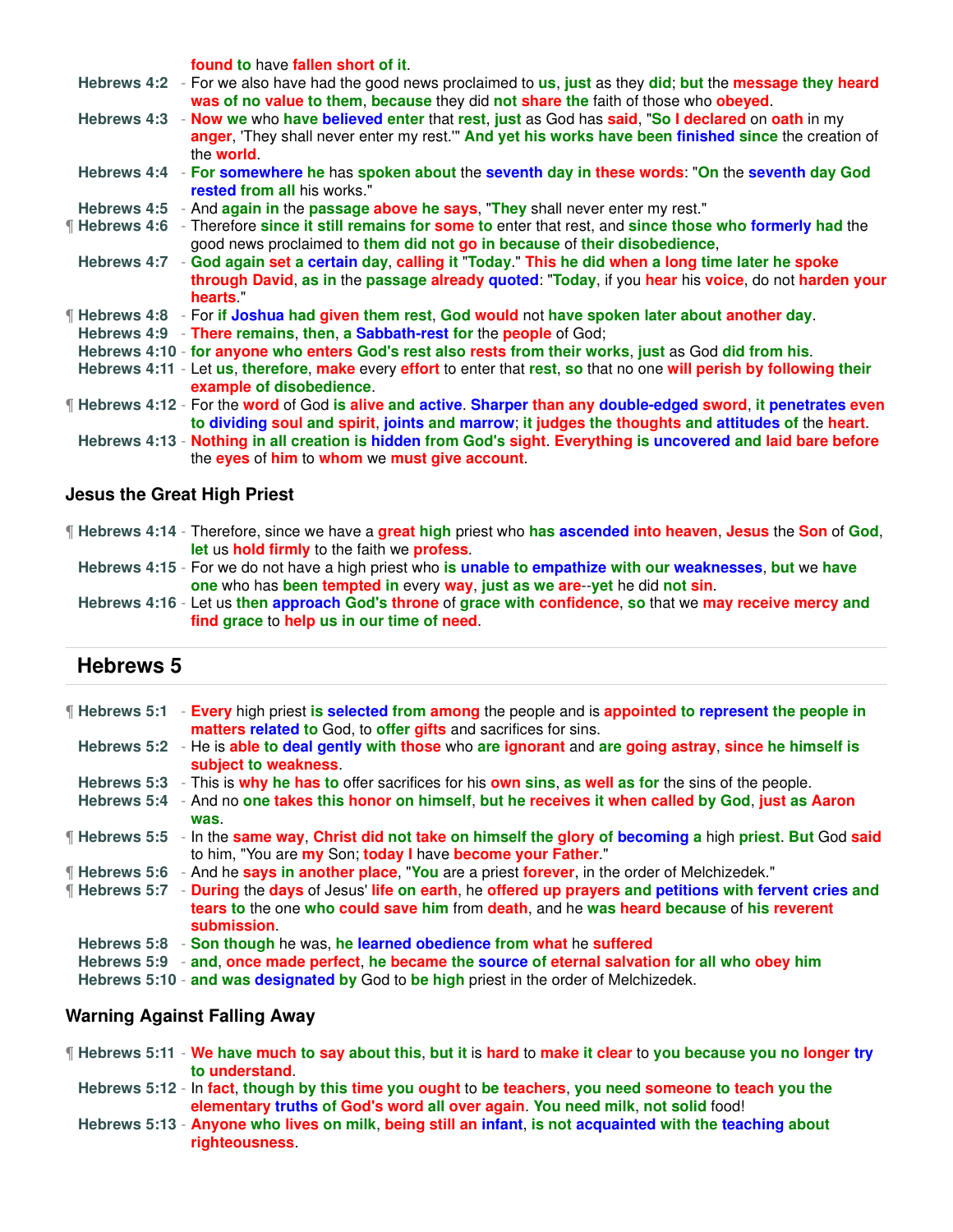**found to** have **fallen short of it**.

- **Hebrews 4:2** For we also have had the good news proclaimed to **us**, **just** as they **did**; **but** the **message they heard was of no value to them**, **because** they did **not share the** faith of those who **obeyed**.
- **Hebrews 4:3 Now we** who **have believed enter** that **rest**, **just** as God has **said**, "**So I declared** on **oath** in my **anger**, 'They shall never enter my rest.'" **And yet his works have been finished since** the creation of the **world**.
- **Hebrews 4:4 For somewhere he** has **spoken about** the **seventh day in these words**: "**On** the **seventh day God rested from all** his works."
- **Hebrews 4:5** And **again in** the **passage above he says**, "**They** shall never enter my rest."
- ¶ **Hebrews 4:6** Therefore **since it still remains for some to** enter that rest, and **since those who formerly had** the good news proclaimed to **them did not go in because** of **their disobedience**,
- **Hebrews 4:7 God again set a certain day**, **calling it** "**Today**." **This he did when a long time later he spoke through David**, **as in** the **passage already quoted**: "**Today**, if you **hear** his **voice**, do not **harden your hearts**."
- ¶ **Hebrews 4:8** For **if Joshua had given them rest**, **God would** not **have spoken later about another day**.
- **Hebrews 4:9 There remains**, **then**, **a Sabbath-rest for** the **people** of God;
- **Hebrews 4:10 for anyone who enters God's rest also rests from their works**, **just** as God **did from his**.
- **Hebrews 4:11** Let **us**, **therefore**, **make** every **effort** to enter that **rest**, **so** that no one **will perish by following their example of disobedience**.
- ¶ **Hebrews 4:12** For the **word** of God **is alive and active**. **Sharper than any double-edged sword**, **it penetrates even to dividing soul and spirit**, **joints and marrow**; **it judges the thoughts and attitudes of** the **heart**.
- **Hebrews 4:13 Nothing in all creation is hidden from God's sight**. **Everything is uncovered and laid bare before** the **eyes** of **him** to **whom** we **must give account**.

### **Jesus the Great High Priest**

- ¶ **Hebrews 4:14** Therefore, since we have a **great high** priest who **has ascended into heaven**, **Jesus** the **Son** of **God**, **let** us **hold firmly** to the faith we **profess**.
	- **Hebrews 4:15** For we do not have a high priest who **is unable to empathize with our weaknesses**, **but** we **have one** who has **been tempted in** every **way**, **just as we are**--**yet** he did **not sin**.

**Hebrews 4:16** - Let us **then approach God's throne** of **grace with confidence**, **so** that we **may receive mercy and find grace** to **help us in our time of need**.

## **Hebrews 5**

|                    | <b>Figure 1</b> Hebrews 5:1 - Every high priest is selected from among the people and is appointed to represent the people in<br>matters related to God, to offer gifts and sacrifices for sins.                |
|--------------------|-----------------------------------------------------------------------------------------------------------------------------------------------------------------------------------------------------------------|
|                    | Hebrews 5:2 - He is able to deal gently with those who are ignorant and are going astray, since he himself is<br>subject to weakness.                                                                           |
|                    | Hebrews 5:3 - This is why he has to offer sacrifices for his own sins, as well as for the sins of the people.                                                                                                   |
| Hebrews 5:4        | - And no one takes this honor on himself, but he receives it when called by God, just as Aaron<br>was.                                                                                                          |
| ¶ Hebrews 5:5      | - In the same way, Christ did not take on himself the glory of becoming a high priest. But God said<br>to him, "You are my Son; today I have become your Father."                                               |
| If Hebrews 5:6     | - And he says in another place, "You are a priest forever, in the order of Melchizedek."                                                                                                                        |
| <b>Hebrews 5:7</b> | - During the days of Jesus' life on earth, he offered up prayers and petitions with fervent cries and<br>tears to the one who could save him from death, and he was heard because of his reverent<br>submission |
|                    | Hebrews 5:8 - Son though he was, he learned obedience from what he suffered                                                                                                                                     |
|                    | Hebrews 5:9 - and, once made perfect, he became the source of eternal salvation for all who obey him                                                                                                            |
|                    | Hebrews 5:10 - and was designated by God to be high priest in the order of Melchizedek.                                                                                                                         |

### **Warning Against Falling Away**

- ¶ **Hebrews 5:11 We have much to say about this**, **but it** is **hard** to **make it clear** to **you because you no longer try to understand**.
	- **Hebrews 5:12** In **fact**, **though by this time you ought** to **be teachers**, **you need someone to teach you the elementary truths of God's word all over again**. **You need milk**, **not solid** food!
	- **Hebrews 5:13 Anyone who lives on milk**, **being still an infant**, **is not acquainted with the teaching about righteousness**.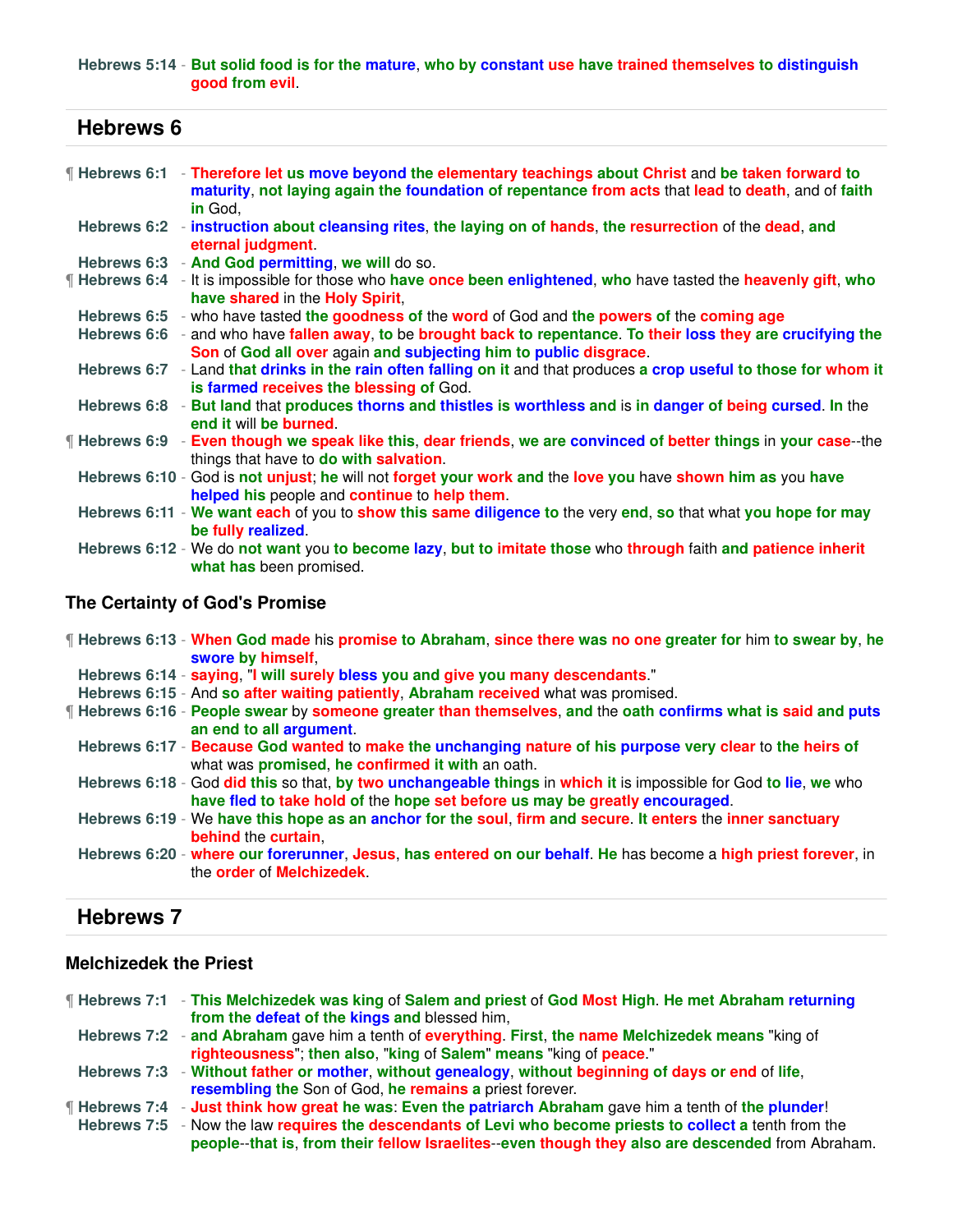#### **Hebrews 5:14** - **But solid food is for the mature**, **who by constant use have trained themselves to distinguish good from evil**.

| <b>Hebrews 6</b> |                                                                                                                                                                                                                             |
|------------------|-----------------------------------------------------------------------------------------------------------------------------------------------------------------------------------------------------------------------------|
|                  | ¶ Hebrews 6:1 → Therefore let us move beyond the elementary teachings about Christ and be taken forward to<br>maturity, not laying again the foundation of repentance from acts that lead to death, and of faith<br>in God, |
|                  | Hebrews 6:2 - instruction about cleansing rites, the laying on of hands, the resurrection of the dead, and<br>eternal judgment.                                                                                             |
|                  | Hebrews 6:3 - And God permitting, we will do so.                                                                                                                                                                            |
|                  | Hebrews 6:4 - It is impossible for those who have once been enlightened, who have tasted the heavenly gift, who<br>have shared in the Holy Spirit.                                                                          |
|                  | Hebrews 6:5 - who have tasted the goodness of the word of God and the powers of the coming age                                                                                                                              |
|                  | Hebrews 6:6 - and who have fallen away, to be brought back to repentance. To their loss they are crucifying the<br>Son of God all over again and subjecting him to public disgrace.                                         |
|                  | Hebrews 6:7 - Land that drinks in the rain often falling on it and that produces a crop useful to those for whom it<br>is farmed receives the blessing of God.                                                              |
|                  | Hebrews 6:8 - But land that produces thorns and thistles is worthless and is in danger of being cursed. In the<br>end it will be burned.                                                                                    |
|                  | <b>If Hebrews 6:9</b> - Even though we speak like this, dear friends, we are convinced of better things in your case--the<br>things that have to do with salvation.                                                         |
|                  | Hebrews 6:10 - God is not unjust; he will not forget your work and the love you have shown him as you have<br>helped his people and continue to help them.                                                                  |
|                  | Hebrews 6:11 - We want each of you to show this same diligence to the very end, so that what you hope for may<br>be fully realized.                                                                                         |
|                  | Hebrews 6:12 - We do not want you to become lazy, but to imitate those who through faith and patience inherit<br>what has been promised.                                                                                    |
|                  |                                                                                                                                                                                                                             |

## **The Certainty of God's Promise**

| If Hebrews 6:13 - When God made his promise to Abraham, since there was no one greater for him to swear by, he<br>swore by himself                                                              |
|-------------------------------------------------------------------------------------------------------------------------------------------------------------------------------------------------|
| Hebrews 6:14 - saying, "I will surely bless you and give you many descendants."                                                                                                                 |
| Hebrews 6:15 - And so after waiting patiently, Abraham received what was promised.                                                                                                              |
| ¶ Hebrews 6:16 - People swear by someone greater than themselves, and the oath confirms what is said and puts<br>an end to all argument.                                                        |
| Hebrews 6:17 - Because God wanted to make the unchanging nature of his purpose very clear to the heirs of<br>what was <b>promised</b> , he <b>confirmed</b> it with an oath.                    |
| Hebrews 6:18 - God did this so that, by two unchangeable things in which it is impossible for God to lie, we who<br>have fled to take hold of the hope set before us may be greatly encouraged. |
| Hebrews 6:19 - We have this hope as an anchor for the soul, firm and secure. It enters the inner sanctuary<br>behind the curtain.                                                               |
| Hebrews 6:20 - where our forerunner, Jesus, has entered on our behalf. He has become a high priest forever, in<br>the <b>order</b> of <b>Melchizedek</b> .                                      |

## **Hebrews 7**

### **Melchizedek the Priest**

| Filebrews 7:1 - This Melchizedek was king of Salem and priest of God Most High. He met Abraham returning      |
|---------------------------------------------------------------------------------------------------------------|
| from the defeat of the kings and blessed him,                                                                 |
| Hebrews 7:2 - and Abraham gave him a tenth of everything. First, the name Melchizedek means "king of          |
| righteousness"; then also, "king of Salem" means "king of peace."                                             |
| Hebrews 7:3 - Without father or mother, without genealogy, without beginning of days or end of life,          |
| resembling the Son of God, he remains a priest forever.                                                       |
| <b>Hebrews 7:4</b> - Just think how great he was: Even the patriarch Abraham gave him a tenth of the plunder! |
| Hebrews 7:5 - Now the law requires the descendants of Levi who become priests to collect a tenth from the     |
| people--that is, from their fellow Israelites--even though they also are descended from Abraham.              |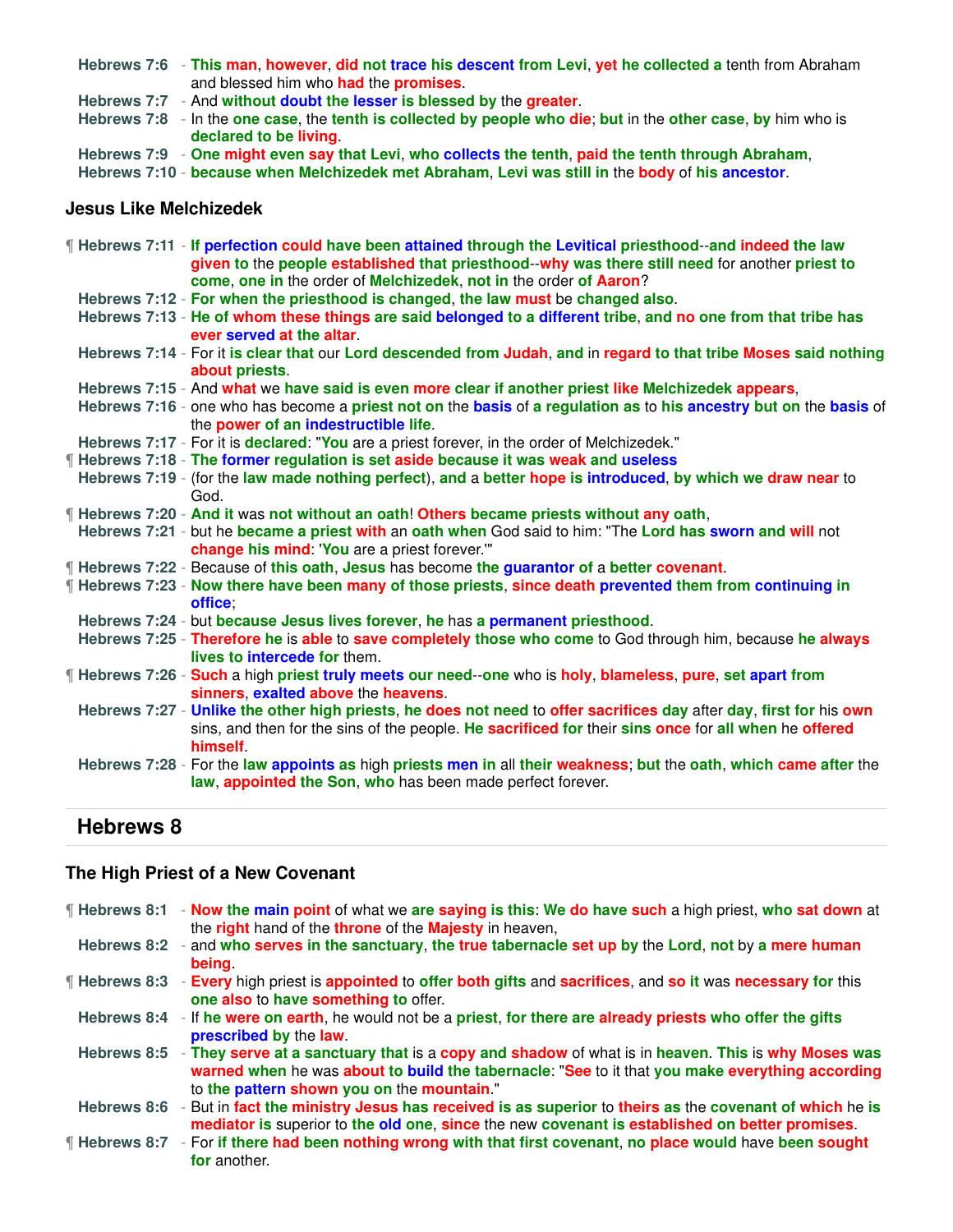- **Hebrews 7:6 This man**, **however**, **did not trace his descent from Levi**, **yet he collected a** tenth from Abraham and blessed him who **had** the **promises**.
- **Hebrews 7:7** And **without doubt the lesser is blessed by** the **greater**.
- **Hebrews 7:8** In the **one case**, the **tenth is collected by people who die**; **but** in the **other case**, **by** him who is **declared to be living**.
- **Hebrews 7:9 One might even say that Levi**, **who collects the tenth**, **paid the tenth through Abraham**,

**Hebrews 7:10** - **because when Melchizedek met Abraham**, **Levi was still in** the **body** of **his ancestor**.

### **Jesus Like Melchizedek**

| <b>If Hebrews 7:11 - If perfection could have been attained through the Levitical priesthood--and indeed the law</b><br>given to the people established that priesthood--why was there still need for another priest to<br>come, one in the order of Melchizedek, not in the order of Aaron? |
|----------------------------------------------------------------------------------------------------------------------------------------------------------------------------------------------------------------------------------------------------------------------------------------------|
| Hebrews 7:12 - For when the priesthood is changed, the law must be changed also.                                                                                                                                                                                                             |
| Hebrews 7:13 - He of whom these things are said belonged to a different tribe, and no one from that tribe has<br>ever served at the altar                                                                                                                                                    |
| Hebrews 7:14 - For it is clear that our Lord descended from Judah, and in regard to that tribe Moses said nothing<br>about priests.                                                                                                                                                          |
| Hebrews 7:15 - And what we have said is even more clear if another priest like Melchizedek appears,                                                                                                                                                                                          |
| Hebrews 7:16 - one who has become a priest not on the basis of a regulation as to his ancestry but on the basis of<br>the power of an indestructible life.                                                                                                                                   |
| Hebrews 7:17 - For it is declared: "You are a priest forever, in the order of Melchizedek."                                                                                                                                                                                                  |
| ¶ Hebrews 7:18 - The former regulation is set aside because it was weak and useless                                                                                                                                                                                                          |
| Hebrews 7:19 - (for the law made nothing perfect), and a better hope is introduced, by which we draw near to<br>God.                                                                                                                                                                         |
| ¶ Hebrews 7:20 - And it was not without an oath! Others became priests without any oath,                                                                                                                                                                                                     |
| Hebrews 7:21 - but he became a priest with an oath when God said to him: "The Lord has sworn and will not<br>change his mind: 'You are a priest forever.'"                                                                                                                                   |
| <b>Hebrews 7:22</b> - Because of this oath, Jesus has become the guarantor of a better covenant.                                                                                                                                                                                             |
| <b>If Hebrews 7:23 - Now there have been many of those priests, since death prevented them from continuing in</b><br>office:                                                                                                                                                                 |
| Hebrews 7:24 - but because Jesus lives forever, he has a permanent priesthood.                                                                                                                                                                                                               |
| Hebrews 7:25 - Therefore he is able to save completely those who come to God through him, because he always<br>lives to intercede for them.                                                                                                                                                  |
| If Hebrews 7:26 - Such a high priest truly meets our need--one who is holy, blameless, pure, set apart from<br>sinners, exalted above the heavens.                                                                                                                                           |
| Hebrews 7:27 - Unlike the other high priests, he does not need to offer sacrifices day after day, first for his own<br>sins, and then for the sins of the people. He sacrificed for their sins once for all when he offered<br><b>himself</b>                                                |
| Hebrews 7:28 - For the law appoints as high priests men in all their weakness; but the oath, which came after the<br>law, appointed the Son, who has been made perfect forever.                                                                                                              |

## **Hebrews 8**

## **The High Priest of a New Covenant**

| $\P$ Hebrews 8:1     | - Now the main point of what we are saying is this: We do have such a high priest, who sat down at<br>the right hand of the throne of the Majesty in heaven,                                                                                       |
|----------------------|----------------------------------------------------------------------------------------------------------------------------------------------------------------------------------------------------------------------------------------------------|
| Hebrews 8:2          | - and who serves in the sanctuary, the true tabernacle set up by the Lord, not by a mere human<br><b>being</b>                                                                                                                                     |
| <b>Hebrews 8:3</b>   | - Every high priest is appointed to offer both gifts and sacrifices, and so it was necessary for this<br>one also to have something to offer.                                                                                                      |
| Hebrews 8:4          | - If he were on earth, he would not be a priest, for there are already priests who offer the gifts<br>prescribed by the law.                                                                                                                       |
| Hebrews 8:5          | - They serve at a sanctuary that is a copy and shadow of what is in heaven. This is why Moses was<br>warned when he was about to build the tabernacle: "See to it that you make everything according<br>to the pattern shown you on the mountain." |
| Hebrews 8:6          | - But in fact the ministry Jesus has received is as superior to theirs as the covenant of which he is<br>mediator is superior to the old one, since the new covenant is established on better promises.                                            |
| <b>f</b> Hebrews 8:7 | - For if there had been nothing wrong with that first covenant, no place would have been sought<br>for another.                                                                                                                                    |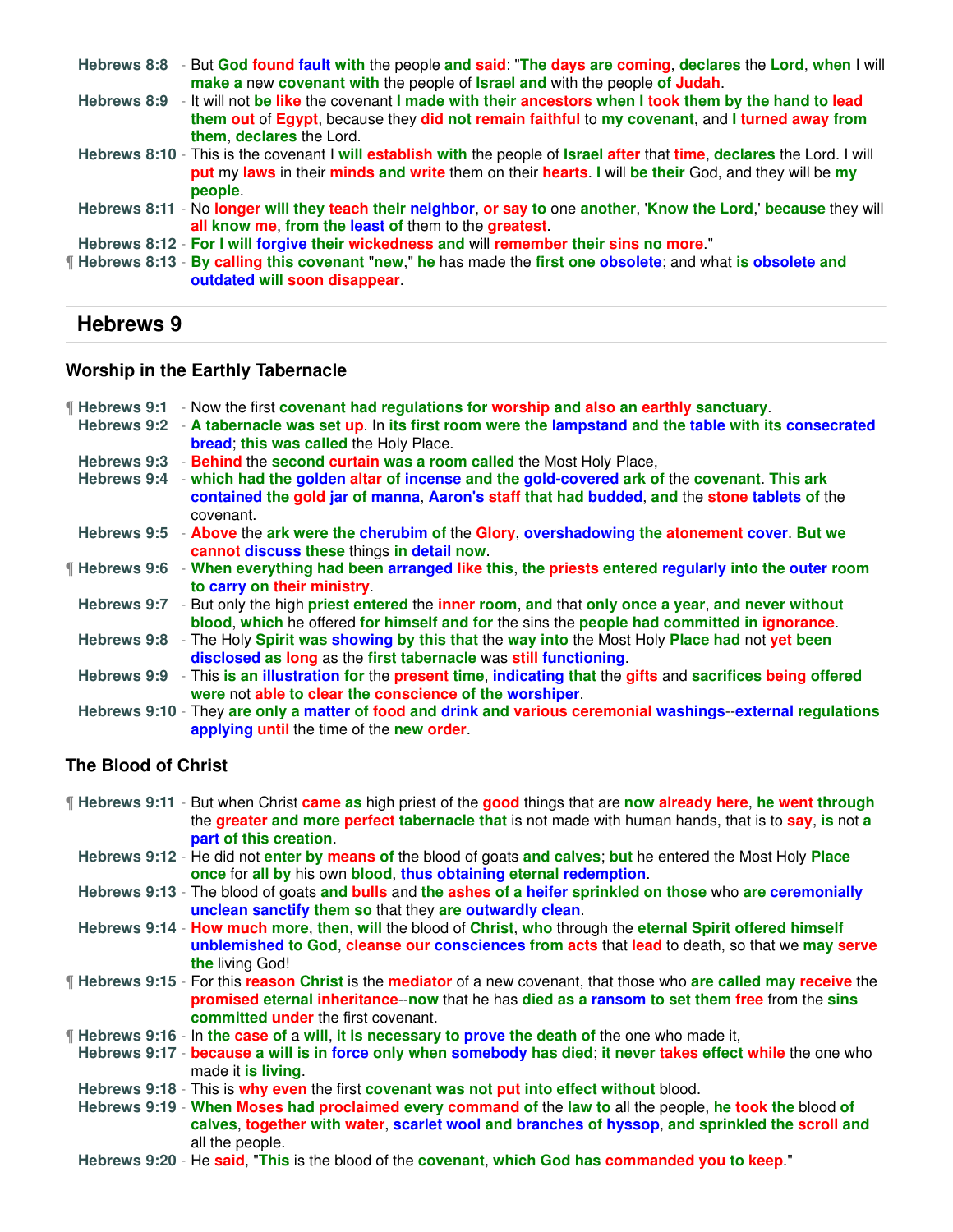|  | Hebrews 8:8 - But God found fault with the people and said: "The days are coming, declares the Lord, when I will<br>make a new covenant with the people of Israel and with the people of Judah.                                               |
|--|-----------------------------------------------------------------------------------------------------------------------------------------------------------------------------------------------------------------------------------------------|
|  | Hebrews 8:9 - It will not be like the covenant I made with their ancestors when I took them by the hand to lead<br>them out of Egypt, because they did not remain faithful to my covenant, and I turned away from<br>them, declares the Lord. |
|  | Hebrews 8:10 - This is the covenant I will establish with the people of Israel after that time, declares the Lord. I will<br>put my laws in their minds and write them on their hearts. I will be their God, and they will be my<br>people.   |
|  | Hebrews 8:11 - No longer will they teach their neighbor, or say to one another, 'Know the Lord,' because they will<br>all know me, from the least of them to the greatest.                                                                    |
|  | Hebrews 8:12 - For I will forgive their wickedness and will remember their sins no more."                                                                                                                                                     |
|  | If Hebrews 8:13 - By calling this covenant "new," he has made the first one obsolete; and what is obsolete and<br>outdated will soon disappear.                                                                                               |

#### **Worship in the Earthly Tabernacle**

| <b>Hebrews 9:1</b> | - Now the first covenant had regulations for worship and also an earthly sanctuary.                                                                                                                        |
|--------------------|------------------------------------------------------------------------------------------------------------------------------------------------------------------------------------------------------------|
| Hebrews 9:2        | - A tabernacle was set up. In its first room were the lampstand and the table with its consecrated<br>bread; this was called the Holy Place.                                                               |
| Hebrews 9:3        | - Behind the second curtain was a room called the Most Holy Place,                                                                                                                                         |
| Hebrews 9:4        | - which had the golden altar of incense and the gold-covered ark of the covenant. This ark<br>contained the gold jar of manna, Aaron's staff that had budded, and the stone tablets of the<br>covenant.    |
|                    | Hebrews 9:5 - Above the ark were the cherubim of the Glory, overshadowing the atonement cover. But we<br>cannot discuss these things in detail now.                                                        |
|                    | ¶ Hebrews 9:6 → When everything had been arranged like this, the priests entered regularly into the outer room<br>to carry on their ministry.                                                              |
|                    | Hebrews 9:7 - But only the high priest entered the inner room, and that only once a year, and never without<br>blood, which he offered for himself and for the sins the people had committed in ignorance. |
|                    | Hebrews 9:8 - The Holy Spirit was showing by this that the way into the Most Holy Place had not yet been<br>disclosed as long as the first tabernacle was still functioning.                               |
|                    | Hebrews 9:9 - This is an illustration for the present time, indicating that the gifts and sacrifices being offered<br>were not able to clear the conscience of the worshiper.                              |
|                    | Hebrews 9:10 - They are only a matter of food and drink and various ceremonial washings--external regulations<br>applying until the time of the new order.                                                 |

## **The Blood of Christ**

| <b>If Hebrews 9:11</b> - But when Christ came as high priest of the good things that are now already here, he went through |
|----------------------------------------------------------------------------------------------------------------------------|
| the greater and more perfect tabernacle that is not made with human hands, that is to say, is not a                        |
| part of this creation.                                                                                                     |
| Hebrews 9:12 - He did not enter by means of the blood of goats and calves; but he entered the Most Holy Place              |
| once for all by his own blood, thus obtaining eternal redemption.                                                          |

- **Hebrews 9:13** The blood of goats **and bulls** and **the ashes of a heifer sprinkled on those** who **are ceremonially unclean sanctify them so** that they **are outwardly clean**.
- **Hebrews 9:14 How much more**, **then**, **will** the blood of **Christ**, **who** through the **eternal Spirit offered himself unblemished to God**, **cleanse our consciences from acts** that **lead** to death, so that we **may serve the** living God!
- ¶ **Hebrews 9:15** For this **reason Christ** is the **mediator** of a new covenant, that those who **are called may receive** the **promised eternal inheritance**--**now** that he has **died as a ransom to set them free** from the **sins committed under** the first covenant.
- ¶ **Hebrews 9:16** In **the case of** a **will**, **it is necessary to prove the death of** the one who made it,

**Hebrews 9:17** - **because a will is in force only when somebody has died**; **it never takes effect while** the one who made it **is living**.

- **Hebrews 9:18** This is **why even** the first **covenant was not put into effect without** blood.
- **Hebrews 9:19 When Moses had proclaimed every command of** the **law to** all the people, **he took the** blood **of calves**, **together with water**, **scarlet wool and branches of hyssop**, **and sprinkled the scroll and** all the people.
- **Hebrews 9:20** He **said**, "**This** is the blood of the **covenant**, **which God has commanded you to keep**."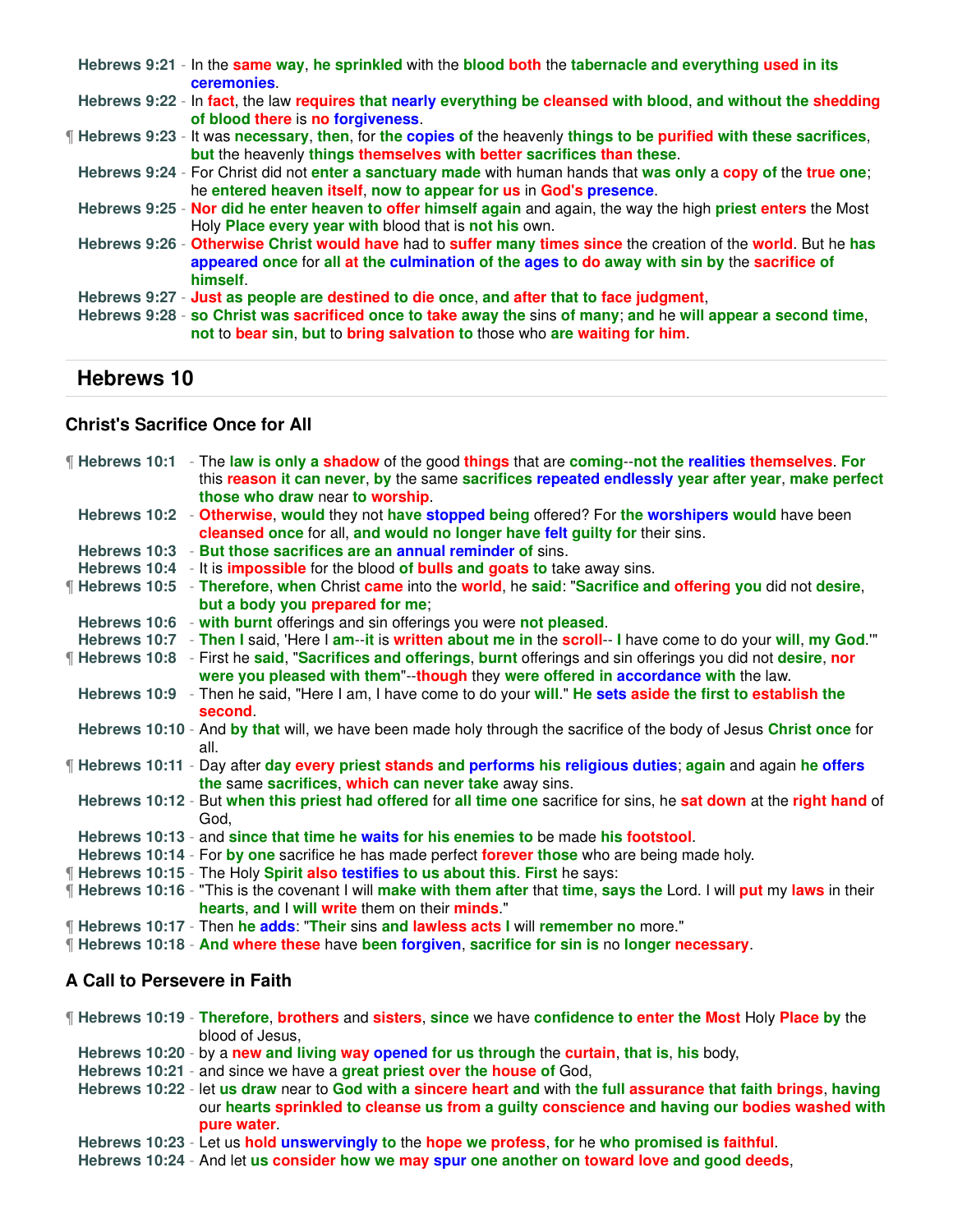|  | Hebrews 9:21 - In the same way, he sprinkled with the blood both the tabernacle and everything used in its<br><b>ceremonies</b>                                                                                                                                                        |
|--|----------------------------------------------------------------------------------------------------------------------------------------------------------------------------------------------------------------------------------------------------------------------------------------|
|  | Hebrews 9:22 - In fact, the law requires that nearly everything be cleansed with blood, and without the shedding<br>of blood there is no forgiveness.                                                                                                                                  |
|  | ¶ Hebrews 9:23 - It was necessary, then, for the copies of the heavenly things to be purified with these sacrifices,<br>but the heavenly things themselves with better sacrifices than these.                                                                                          |
|  | Hebrews 9:24 - For Christ did not enter a sanctuary made with human hands that was only a copy of the true one;<br>he entered heaven itself, now to appear for us in God's presence.                                                                                                   |
|  | Hebrews 9:25 - Nor did he enter heaven to offer himself again and again, the way the high priest enters the Most<br>Holy <b>Place every year with</b> blood that is not his own.                                                                                                       |
|  | Hebrews 9:26 - Otherwise Christ would have had to suffer many times since the creation of the world. But he has<br>appeared once for all at the culmination of the ages to do away with sin by the sacrifice of<br>himself.                                                            |
|  | Hebrews 9:27 - Just as people are destined to die once, and after that to face judgment,<br>Hebrews 9:28 - so Christ was sacrificed once to take away the sins of many; and he will appear a second time,<br>not to bear sin, but to bring salvation to those who are waiting for him. |

#### **Christ's Sacrifice Once for All**

| If Hebrews 10:1 - The law is only a shadow of the good things that are coming--not the realities themselves. For<br>this reason it can never, by the same sacrifices repeated endlessly year after year, make perfect |
|-----------------------------------------------------------------------------------------------------------------------------------------------------------------------------------------------------------------------|
| those who draw near to worship.                                                                                                                                                                                       |
| Hebrews 10:2 - Otherwise, would they not have stopped being offered? For the worshipers would have been                                                                                                               |
| cleansed once for all, and would no longer have felt guilty for their sins.                                                                                                                                           |
| Hebrews 10:3 - But those sacrifices are an annual reminder of sins.                                                                                                                                                   |
| Hebrews 10:4 - It is <b>impossible</b> for the blood of <b>bulls and goats to</b> take away sins.                                                                                                                     |
| <b>Hebrews 10:5</b> - Therefore, when Christ came into the world, he said: "Sacrifice and offering you did not desire,                                                                                                |
| but a body you prepared for me;                                                                                                                                                                                       |
| Hebrews 10:6 - with burnt offerings and sin offerings you were not pleased.                                                                                                                                           |
| Hebrews 10:7 - Then I said, 'Here I am--it is written about me in the scroll-- I have come to do your will, my God."                                                                                                  |
| <b>If Hebrews 10:8</b> - First he said, "Sacrifices and offerings, burnt offerings and sin offerings you did not desire, nor                                                                                          |
| were you pleased with them"--though they were offered in accordance with the law.                                                                                                                                     |
| Hebrews 10:9 - Then he said, "Here I am, I have come to do your will." He sets aside the first to establish the                                                                                                       |
| second.                                                                                                                                                                                                               |
| Hebrews 10:10 - And by that will, we have been made holy through the sacrifice of the body of Jesus Christ once for<br>all.                                                                                           |
| Flebrews 10:11 - Day after day every priest stands and performs his religious duties; again and again he offers                                                                                                       |
| the same sacrifices, which can never take away sins.<br>Hebrews 10:12 - But when this priest had offered for all time one sacrifice for sins, he sat down at the right hand of                                        |
| God.                                                                                                                                                                                                                  |
| Hebrews 10:13 - and since that time he waits for his enemies to be made his footstool.                                                                                                                                |
| Hebrews 10:14 - For by one sacrifice he has made perfect forever those who are being made holy.                                                                                                                       |
| <b>If Hebrews 10:15 - The Holy Spirit also testifies to us about this. First he says:</b>                                                                                                                             |
| If Hebrews 10:16 - "This is the covenant I will make with them after that time, says the Lord. I will put my laws in their                                                                                            |
| hearts, and I will write them on their minds."                                                                                                                                                                        |
| <b>If Hebrews 10:17 - Then he adds: "Their sins and lawless acts I will remember no more."</b>                                                                                                                        |
| Figure Hebrews 10:18 - And where these have been forgiven, sacrifice for sin is no longer necessary.                                                                                                                  |

## **A Call to Persevere in Faith**

¶ **Hebrews 10:19** - **Therefore**, **brothers** and **sisters**, **since** we have **confidence to enter the Most** Holy **Place by** the blood of Jesus,

- **Hebrews 10:20** by a **new and living way opened for us through** the **curtain**, **that is**, **his** body,
- **Hebrews 10:21** and since we have a **great priest over the house of** God,

**Hebrews 10:22** - let **us draw** near to **God with a sincere heart and** with **the full assurance that faith brings**, **having** our **hearts sprinkled to cleanse us from a guilty conscience and having our bodies washed with pure water**.

**Hebrews 10:23** - Let us **hold unswervingly to** the **hope we profess**, **for** he **who promised is faithful**.

**Hebrews 10:24** - And let **us consider how we may spur one another on toward love and good deeds**,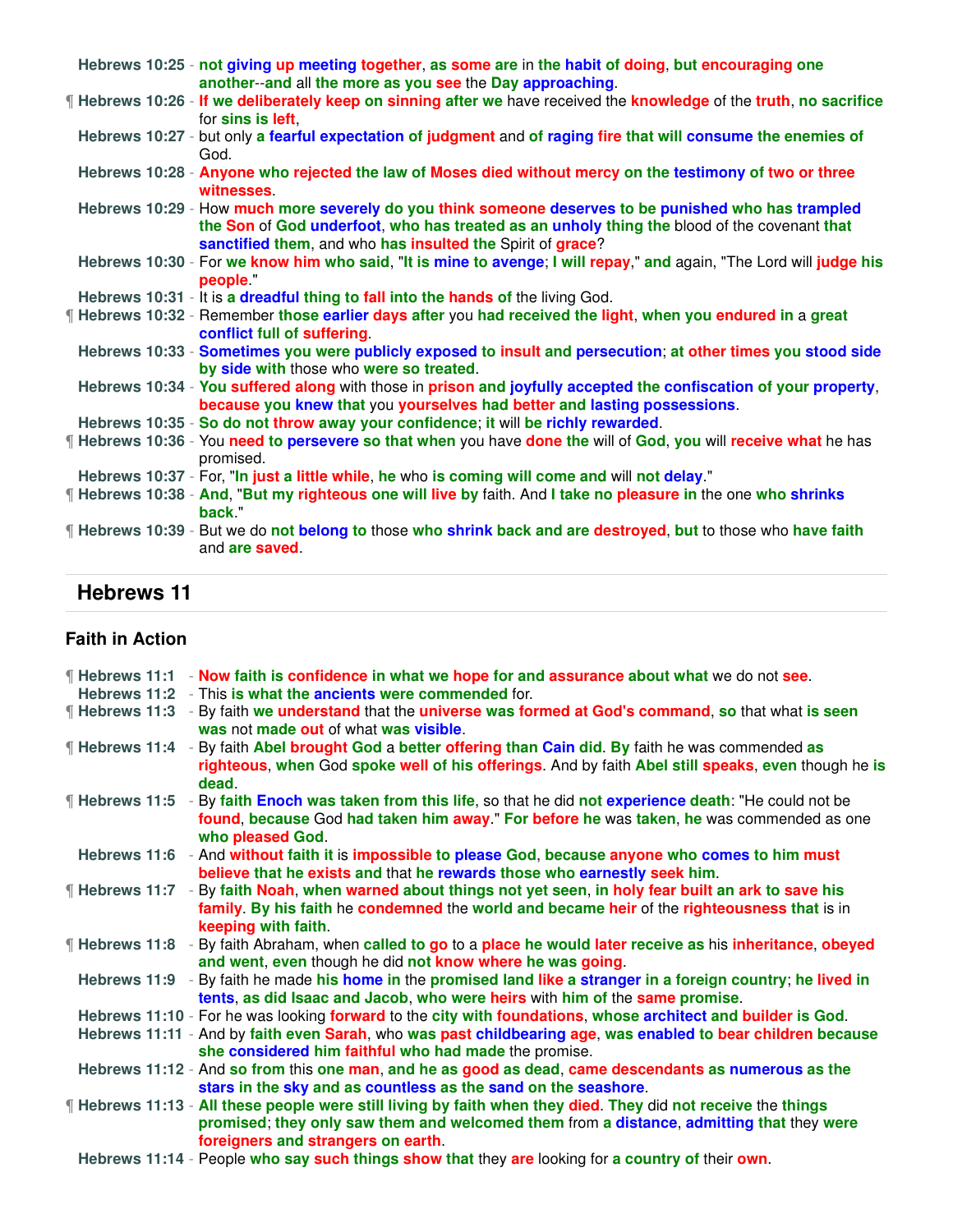| Hebrews 10:25 - not giving up meeting together, as some are in the habit of doing, but encouraging one<br>another-and all the more as you see the Day approaching.                                                                                                |
|-------------------------------------------------------------------------------------------------------------------------------------------------------------------------------------------------------------------------------------------------------------------|
| If Hebrews 10:26 - If we deliberately keep on sinning after we have received the knowledge of the truth, no sacrifice<br>for sins is left,                                                                                                                        |
| Hebrews 10:27 - but only a fearful expectation of judgment and of raging fire that will consume the enemies of<br>God.                                                                                                                                            |
| Hebrews 10:28 - Anyone who rejected the law of Moses died without mercy on the testimony of two or three<br>witnesses.                                                                                                                                            |
| Hebrews 10:29 - How much more severely do you think someone deserves to be punished who has trampled<br>the Son of God underfoot, who has treated as an unholy thing the blood of the covenant that<br>sanctified them, and who has insulted the Spirit of grace? |
| Hebrews 10:30 - For we know him who said, "It is mine to avenge; I will repay," and again, "The Lord will judge his<br>people "                                                                                                                                   |
| Hebrews 10:31 - It is a dreadful thing to fall into the hands of the living God.                                                                                                                                                                                  |
| If Hebrews 10:32 - Remember those earlier days after you had received the light, when you endured in a great<br>conflict full of suffering                                                                                                                        |
| Hebrews 10:33 - Sometimes you were publicly exposed to insult and persecution; at other times you stood side<br>by side with those who were so treated.                                                                                                           |
| Hebrews 10:34 - You suffered along with those in prison and joyfully accepted the confiscation of your property,<br>because you knew that you yourselves had better and lasting possessions.                                                                      |
| Hebrews 10:35 - So do not throw away your confidence; it will be richly rewarded.                                                                                                                                                                                 |
| If Hebrews 10:36 - You need to persevere so that when you have done the will of God, you will receive what he has<br>promised.                                                                                                                                    |
| Hebrews 10:37 - For, "In just a little while, he who is coming will come and will not delay."                                                                                                                                                                     |
| <b>Filte brews 10:38 - And, "But my righteous one will live by faith. And I take no pleasure in the one who shrinks</b><br>back."                                                                                                                                 |
| ¶ Hebrews 10:39 - But we do not belong to those who shrink back and are destroyed, but to those who have faith<br>and are saved.                                                                                                                                  |

## **Faith in Action**

|                     | <b>If Hebrews 11:1</b> - Now faith is confidence in what we hope for and assurance about what we do not see.<br>Hebrews 11:2 - This is what the ancients were commended for.                                                                     |
|---------------------|--------------------------------------------------------------------------------------------------------------------------------------------------------------------------------------------------------------------------------------------------|
|                     |                                                                                                                                                                                                                                                  |
|                     | <b>Filte Hebrews 11:3</b> - By faith we understand that the universe was formed at God's command, so that what is seen<br>was not made out of what was visible.                                                                                  |
| Filebrews 11:4      | - By faith Abel brought God a better offering than Cain did. By faith he was commended as<br>righteous, when God spoke well of his offerings. And by faith Abel still speaks, even though he is<br>dead.                                         |
| ¶ Hebrews 11:5      | - By faith Enoch was taken from this life, so that he did not experience death: "He could not be<br>found, because God had taken him away." For before he was taken, he was commended as one<br>who pleased God.                                 |
| Hebrews 11:6        | - And without faith it is impossible to please God, because anyone who comes to him must<br>believe that he exists and that he rewards those who earnestly seek him.                                                                             |
| <b>Hebrews 11:7</b> | - By faith Noah, when warned about things not yet seen, in holy fear built an ark to save his<br>family. By his faith he condemned the world and became heir of the righteousness that is in<br>keeping with faith.                              |
|                     | ¶ Hebrews 11:8 - By faith Abraham, when called to go to a place he would later receive as his inheritance, obeyed<br>and went, even though he did not know where he was going.                                                                   |
|                     | Hebrews 11:9 - By faith he made his home in the promised land like a stranger in a foreign country; he lived in<br>tents, as did Isaac and Jacob, who were heirs with him of the same promise.                                                   |
|                     | Hebrews 11:10 - For he was looking forward to the city with foundations, whose architect and builder is God.                                                                                                                                     |
|                     | Hebrews 11:11 - And by faith even Sarah, who was past childbearing age, was enabled to bear children because<br>she considered him faithful who had made the promise.                                                                            |
|                     | Hebrews 11:12 - And so from this one man, and he as good as dead, came descendants as numerous as the<br>stars in the sky and as countless as the sand on the seashore.                                                                          |
|                     | If Hebrews 11:13 - All these people were still living by faith when they died. They did not receive the things<br>promised; they only saw them and welcomed them from a distance, admitting that they were<br>foreigners and strangers on earth. |
|                     | Hebrews 11:14 - People who say such things show that they are looking for a country of their own                                                                                                                                                 |

**Hebrews 11:14** - People **who say such things show that** they **are** looking for **a country of** their **own**.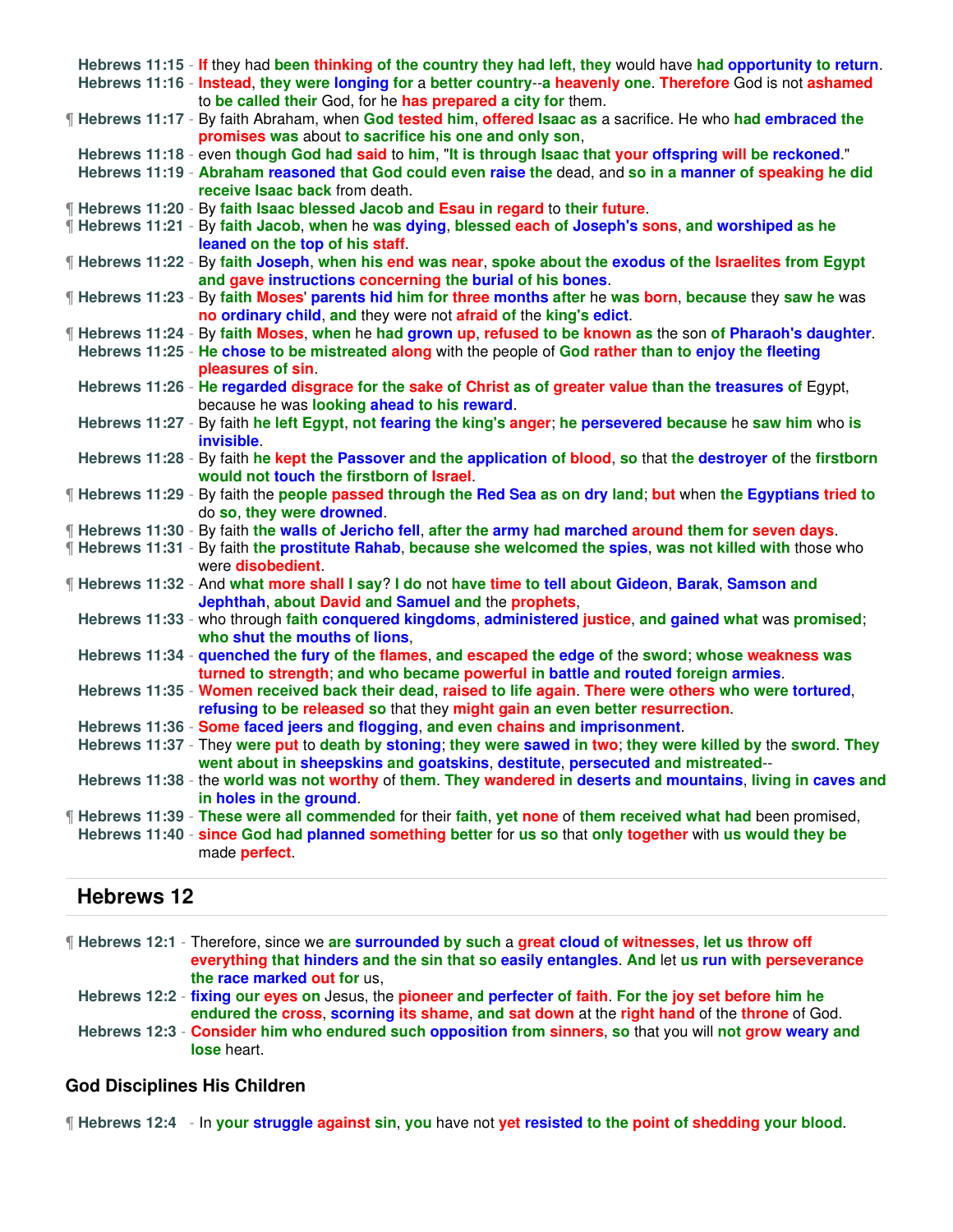|  | Hebrews 11:15 - If they had been thinking of the country they had left, they would have had opportunity to return.<br>Hebrews 11:16 - Instead, they were longing for a better country--a heavenly one. Therefore God is not ashamed |
|--|-------------------------------------------------------------------------------------------------------------------------------------------------------------------------------------------------------------------------------------|
|  | to be called their God, for he has prepared a city for them.<br>If Hebrews 11:17 - By faith Abraham, when God tested him, offered Isaac as a sacrifice. He who had embraced the                                                     |
|  | promises was about to sacrifice his one and only son,                                                                                                                                                                               |
|  | Hebrews 11:18 - even though God had said to him, "It is through Isaac that your offspring will be reckoned."                                                                                                                        |
|  | Hebrews 11:19 - Abraham reasoned that God could even raise the dead, and so in a manner of speaking he did<br>receive Isaac back from death.                                                                                        |
|  | ¶ Hebrews 11:20 - By faith Isaac blessed Jacob and Esau in regard to their future.                                                                                                                                                  |
|  | ¶ Hebrews 11:21 - By faith Jacob, when he was dying, blessed each of Joseph's sons, and worshiped as he                                                                                                                             |
|  | leaned on the top of his staff.                                                                                                                                                                                                     |
|  | If Hebrews 11:22 - By faith Joseph, when his end was near, spoke about the exodus of the Israelites from Egypt                                                                                                                      |
|  | and gave instructions concerning the burial of his bones.                                                                                                                                                                           |
|  | If Hebrews 11:23 - By faith Moses' parents hid him for three months after he was born, because they saw he was<br>no ordinary child, and they were not afraid of the king's edict.                                                  |
|  | If Hebrews 11:24 - By faith Moses, when he had grown up, refused to be known as the son of Pharaoh's daughter.                                                                                                                      |
|  | Hebrews 11:25 - He chose to be mistreated along with the people of God rather than to enjoy the fleeting<br>pleasures of sin.                                                                                                       |
|  | Hebrews 11:26 - He regarded disgrace for the sake of Christ as of greater value than the treasures of Egypt,<br>because he was looking ahead to his reward.                                                                         |
|  | Hebrews 11:27 - By faith he left Egypt, not fearing the king's anger; he persevered because he saw him who is<br>invisible.                                                                                                         |
|  | Hebrews 11:28 - By faith he kept the Passover and the application of blood, so that the destroyer of the firstborn<br>would not touch the firstborn of Israel.                                                                      |
|  | If Hebrews 11:29 - By faith the people passed through the Red Sea as on dry land; but when the Egyptians tried to<br>do so, they were drowned.                                                                                      |
|  | ¶ Hebrews 11:30 - By faith the walls of Jericho fell, after the army had marched around them for seven days.                                                                                                                        |
|  | If Hebrews 11:31 - By faith the prostitute Rahab, because she welcomed the spies, was not killed with those who                                                                                                                     |
|  | were disobedient.                                                                                                                                                                                                                   |
|  | If Hebrews 11:32 - And what more shall I say? I do not have time to tell about Gideon, Barak, Samson and<br>Jephthah, about David and Samuel and the prophets,                                                                      |
|  | Hebrews 11:33 - who through faith conquered kingdoms, administered justice, and gained what was promised;                                                                                                                           |
|  | who shut the mouths of lions,                                                                                                                                                                                                       |
|  | Hebrews 11:34 - quenched the fury of the flames, and escaped the edge of the sword; whose weakness was                                                                                                                              |
|  | turned to strength; and who became powerful in battle and routed foreign armies.                                                                                                                                                    |
|  | Hebrews 11:35 - Women received back their dead, raised to life again. There were others who were tortured,                                                                                                                          |
|  | refusing to be released so that they might gain an even better resurrection.                                                                                                                                                        |
|  | Hebrews 11:36 - Some faced jeers and flogging, and even chains and imprisonment.                                                                                                                                                    |
|  | Hebrews 11:37 - They were put to death by stoning; they were sawed in two; they were killed by the sword. They                                                                                                                      |
|  | went about in sheepskins and goatskins, destitute, persecuted and mistreated--                                                                                                                                                      |
|  | Hebrews 11:38 - the world was not worthy of them. They wandered in deserts and mountains, living in caves and                                                                                                                       |
|  | in holes in the ground.                                                                                                                                                                                                             |
|  | [Hebrews 11:39 - These were all commended for their faith, yet none of them received what had been promised,                                                                                                                        |
|  | Hebrews 11:40 - since God had planned something better for us so that only together with us would they be<br>made perfect.                                                                                                          |
|  |                                                                                                                                                                                                                                     |

¶ **Hebrews 12:1** - Therefore, since we **are surrounded by such** a **great cloud of witnesses**, **let us throw off everything that hinders and the sin that so easily entangles**. **And** let **us run with perseverance the race marked out for** us,

**Hebrews 12:2** - **fixing our eyes on** Jesus, the **pioneer and perfecter of faith**. **For the joy set before him he endured the cross**, **scorning its shame**, **and sat down** at the **right hand** of the **throne** of God.

**Hebrews 12:3** - **Consider him who endured such opposition from sinners**, **so** that you will **not grow weary and lose** heart.

#### **God Disciplines His Children**

¶ **Hebrews 12:4** - In **your struggle against sin**, **you** have not **yet resisted to the point of shedding your blood**.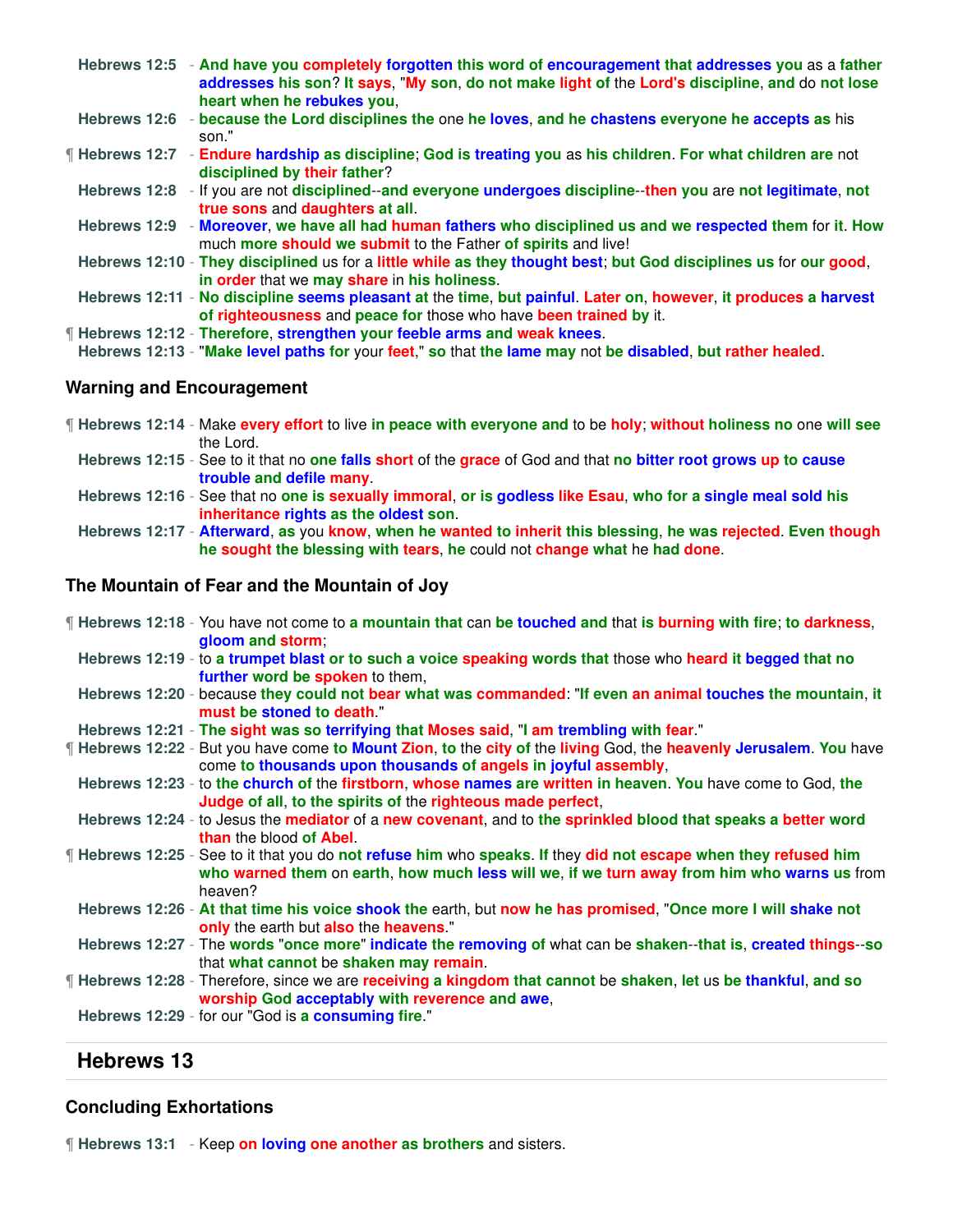|              | Hebrews 12:5 - And have you completely forgotten this word of encouragement that addresses you as a father<br>addresses his son? It says, "My son, do not make light of the Lord's discipline, and do not lose<br>heart when he rebukes you, |
|--------------|----------------------------------------------------------------------------------------------------------------------------------------------------------------------------------------------------------------------------------------------|
| Hebrews 12:6 | - because the Lord disciplines the one he loves, and he chastens everyone he accepts as his<br>son."                                                                                                                                         |
|              | If Hebrews 12:7 - Endure hardship as discipline; God is treating you as his children. For what children are not<br>disciplined by their father?                                                                                              |
|              | Hebrews 12:8 - If you are not disciplined--and everyone undergoes discipline--then you are not legitimate, not<br>true sons and daughters at all.                                                                                            |
|              | Hebrews 12:9 - Moreover, we have all had human fathers who disciplined us and we respected them for it. How<br>much more should we submit to the Father of spirits and live!                                                                 |
|              | Hebrews 12:10 - They disciplined us for a little while as they thought best; but God disciplines us for our good,<br>in order that we may share in his holiness.                                                                             |
|              | Hebrews 12:11 - No discipline seems pleasant at the time, but painful. Later on, however, it produces a harvest<br>of righteousness and peace for those who have been trained by it.                                                         |
|              | Fill Hebrews 12:12 - Therefore, strengthen your feeble arms and weak knees.                                                                                                                                                                  |
|              | Hebrews 12:13 - "Make level paths for your feet," so that the lame may not be disabled, but rather healed.                                                                                                                                   |

#### **Warning and Encouragement**

- ¶ **Hebrews 12:14** Make **every effort** to live **in peace with everyone and** to be **holy**; **without holiness no** one **will see** the Lord.
	- **Hebrews 12:15** See to it that no **one falls short** of the **grace** of God and that **no bitter root grows up to cause trouble and defile many**.
	- **Hebrews 12:16** See that no **one is sexually immoral**, **or is godless like Esau**, **who for a single meal sold his inheritance rights as the oldest son**.
	- **Hebrews 12:17 Afterward**, **as** you **know**, **when he wanted to inherit this blessing**, **he was rejected**. **Even though he sought the blessing with tears**, **he** could not **change what** he **had done**.

#### **The Mountain of Fear and the Mountain of Joy**

- ¶ **Hebrews 12:18** You have not come to **a mountain that** can **be touched and** that **is burning with fire**; **to darkness**, **gloom and storm**;
	- **Hebrews 12:19** to **a trumpet blast or to such a voice speaking words that** those who **heard it begged that no further word be spoken** to them,
	- **Hebrews 12:20** because **they could not bear what was commanded**: "**If even an animal touches the mountain**, **it must be stoned to death**."
- **Hebrews 12:21 The sight was so terrifying that Moses said**, "**I am trembling with fear**."
- ¶ **Hebrews 12:22** But you have come **to Mount Zion**, **to** the **city of** the **living** God, the **heavenly Jerusalem**. **You** have come **to thousands upon thousands of angels in joyful assembly**,
- **Hebrews 12:23** to **the church of** the **firstborn**, **whose names are written in heaven**. **You** have come to God, **the Judge of all**, **to the spirits of** the **righteous made perfect**,
- **Hebrews 12:24** to Jesus the **mediator** of a **new covenant**, and to **the sprinkled blood that speaks a better word than** the blood **of Abel**.
- ¶ **Hebrews 12:25** See to it that you do **not refuse him** who **speaks**. **If** they **did not escape when they refused him who warned them** on **earth**, **how much less will we**, **if we turn away from him who warns us** from heaven?
- **Hebrews 12:26 At that time his voice shook the** earth, but **now he has promised**, "**Once more I will shake not only** the earth but **also** the **heavens**."
- **Hebrews 12:27** The **words** "**once more**" **indicate the removing of** what can be **shaken**--**that is**, **created things**--**so** that **what cannot** be **shaken may remain**.
- ¶ **Hebrews 12:28** Therefore, since we are **receiving a kingdom that cannot** be **shaken**, **let** us **be thankful**, **and so worship God acceptably with reverence and awe**,
- **Hebrews 12:29** for our "God is **a consuming fire**."

### **Hebrews 13**

#### **Concluding Exhortations**

¶ **Hebrews 13:1** - Keep **on loving one another as brothers** and sisters.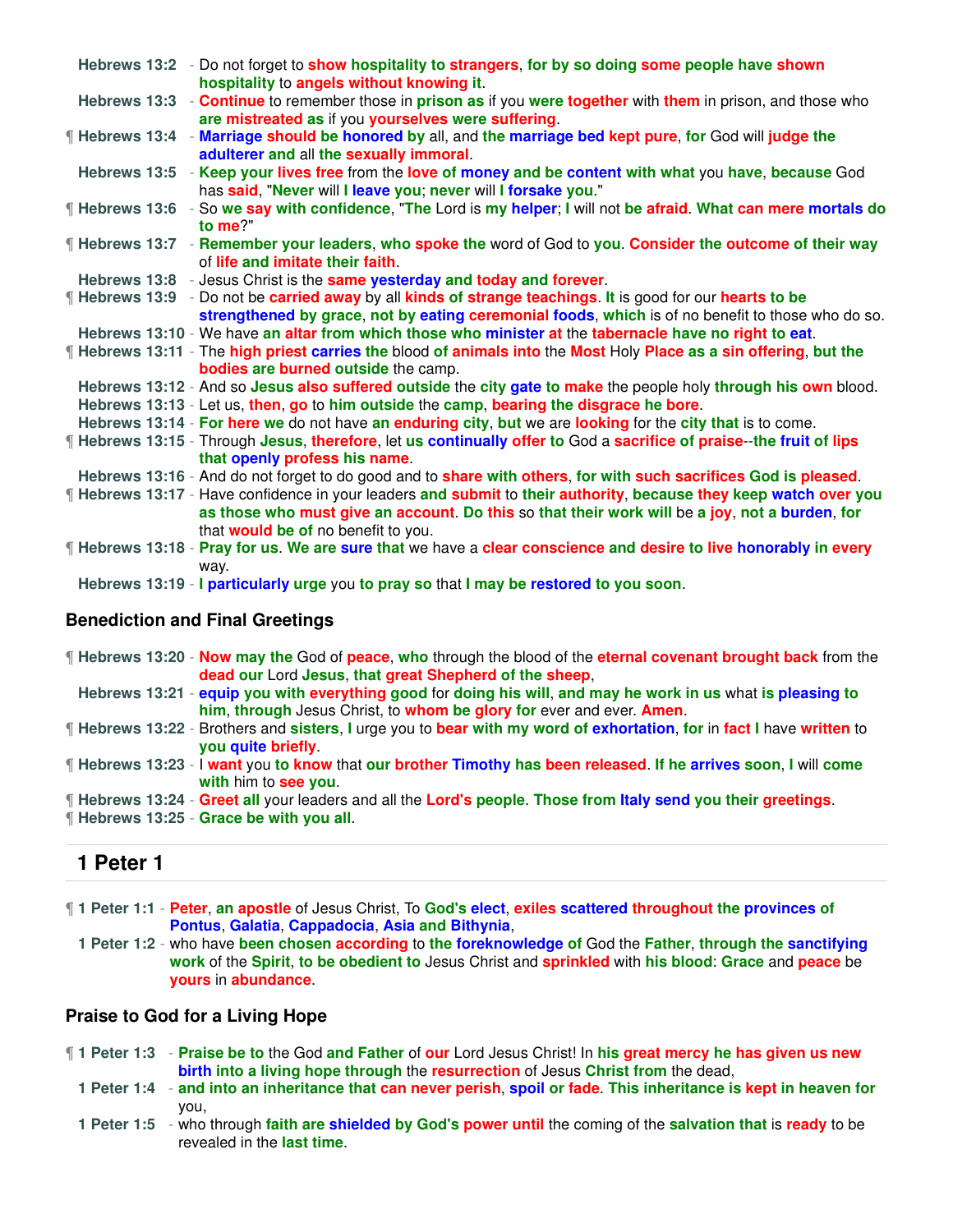| Hebrews 13:2 - Do not forget to show hospitality to strangers, for by so doing some people have shown<br>hospitality to angels without knowing it.                                                                                                              |  |
|-----------------------------------------------------------------------------------------------------------------------------------------------------------------------------------------------------------------------------------------------------------------|--|
| Hebrews 13:3 - Continue to remember those in prison as if you were together with them in prison, and those who<br>are mistreated as if you yourselves were suffering.                                                                                           |  |
| ¶ Hebrews 13:4 - Marriage should be honored by all, and the marriage bed kept pure, for God will judge the<br>adulterer and all the sexually immoral.                                                                                                           |  |
| Hebrews 13:5 - Keep your lives free from the love of money and be content with what you have, because God<br>has said, "Never will I leave you; never will I forsake you."                                                                                      |  |
| ¶ Hebrews 13:6 - So we say with confidence, "The Lord is my helper; I will not be afraid. What can mere mortals do<br>to me?"                                                                                                                                   |  |
| <b>If Hebrews 13:7</b> - Remember your leaders, who spoke the word of God to you. Consider the outcome of their way<br>of life and imitate their faith.                                                                                                         |  |
| Hebrews 13:8 - Jesus Christ is the same yesterday and today and forever.                                                                                                                                                                                        |  |
| <b>Fill Hebrews 13:9</b> - Do not be carried away by all kinds of strange teachings. It is good for our hearts to be                                                                                                                                            |  |
| strengthened by grace, not by eating ceremonial foods, which is of no benefit to those who do so.                                                                                                                                                               |  |
| Hebrews 13:10 - We have an altar from which those who minister at the tabernacle have no right to eat.                                                                                                                                                          |  |
| ¶ Hebrews 13:11 - The high priest carries the blood of animals into the Most Holy Place as a sin offering, but the<br>bodies are burned outside the camp.                                                                                                       |  |
| Hebrews 13:12 - And so Jesus also suffered outside the city gate to make the people holy through his own blood.                                                                                                                                                 |  |
| Hebrews 13:13 - Let us, then, go to him outside the camp, bearing the disgrace he bore.                                                                                                                                                                         |  |
| Hebrews 13:14 - For here we do not have an enduring city, but we are looking for the city that is to come.                                                                                                                                                      |  |
| If Hebrews 13:15 - Through Jesus, therefore, let us continually offer to God a sacrifice of praise--the fruit of lips<br>that openly profess his name.                                                                                                          |  |
| Hebrews 13:16 - And do not forget to do good and to share with others, for with such sacrifices God is pleased.                                                                                                                                                 |  |
| <b>Hebrews 13:17 - Have confidence in your leaders and submit to their authority, because they keep watch over you</b><br>as those who must give an account. Do this so that their work will be a joy, not a burden, for<br>that would be of no benefit to you. |  |
| ¶ Hebrews 13:18 - Pray for us. We are sure that we have a clear conscience and desire to live honorably in every<br>way.                                                                                                                                        |  |
| Hebrews 13:19 - I particularly urge you to pray so that I may be restored to you soon.                                                                                                                                                                          |  |
| <b>Renediction and Final Greetings</b>                                                                                                                                                                                                                          |  |

### **Benediction and Final Greetings**

| <b>Hebrews 13:20 - Now may the God of peace, who through the blood of the eternal covenant brought back</b> from the                             |
|--------------------------------------------------------------------------------------------------------------------------------------------------|
| dead our Lord Jesus, that great Shepherd of the sheep.                                                                                           |
| Hebrews 13:21 - equip you with everything good for doing his will, and may he work in us what is pleasing to                                     |
| him, through Jesus Christ, to whom be glory for ever and ever. Amen.                                                                             |
| If Hebrews 13:22 - Brothers and sisters, I urge you to bear with my word of exhortation, for in fact I have written to<br>you quite briefly      |
| <b>If Hebrews 13:23 - I want you to know that our brother Timothy has been released. If he arrives soon, I will come</b><br>with him to see you. |
| <b>If Hebrews 13:24 - Greet all your leaders and all the Lord's people. Those from Italy send you their greetings.</b>                           |
| <b>f</b> Hebrews 13:25 - Grace be with you all.                                                                                                  |

## **1 Peter 1**

- ¶ **1 Peter 1:1 Peter**, **an apostle** of Jesus Christ, To **God's elect**, **exiles scattered throughout the provinces of Pontus**, **Galatia**, **Cappadocia**, **Asia and Bithynia**,
	- **1 Peter 1:2** who have **been chosen according** to **the foreknowledge of** God the **Father**, **through the sanctifying work** of the **Spirit**, **to be obedient to** Jesus Christ and **sprinkled** with **his blood**: **Grace** and **peace** be **yours** in **abundance**.

### **Praise to God for a Living Hope**

- ¶ **1 Peter 1:3 Praise be to** the God **and Father** of **our** Lord Jesus Christ! In **his great mercy he has given us new birth into a living hope through** the **resurrection** of Jesus **Christ from** the dead,
	- **1 Peter 1:4 and into an inheritance that can never perish**, **spoil or fade**. **This inheritance is kept in heaven for** you,
	- **1 Peter 1:5** who through **faith are shielded by God's power until** the coming of the **salvation that** is **ready** to be revealed in the **last time**.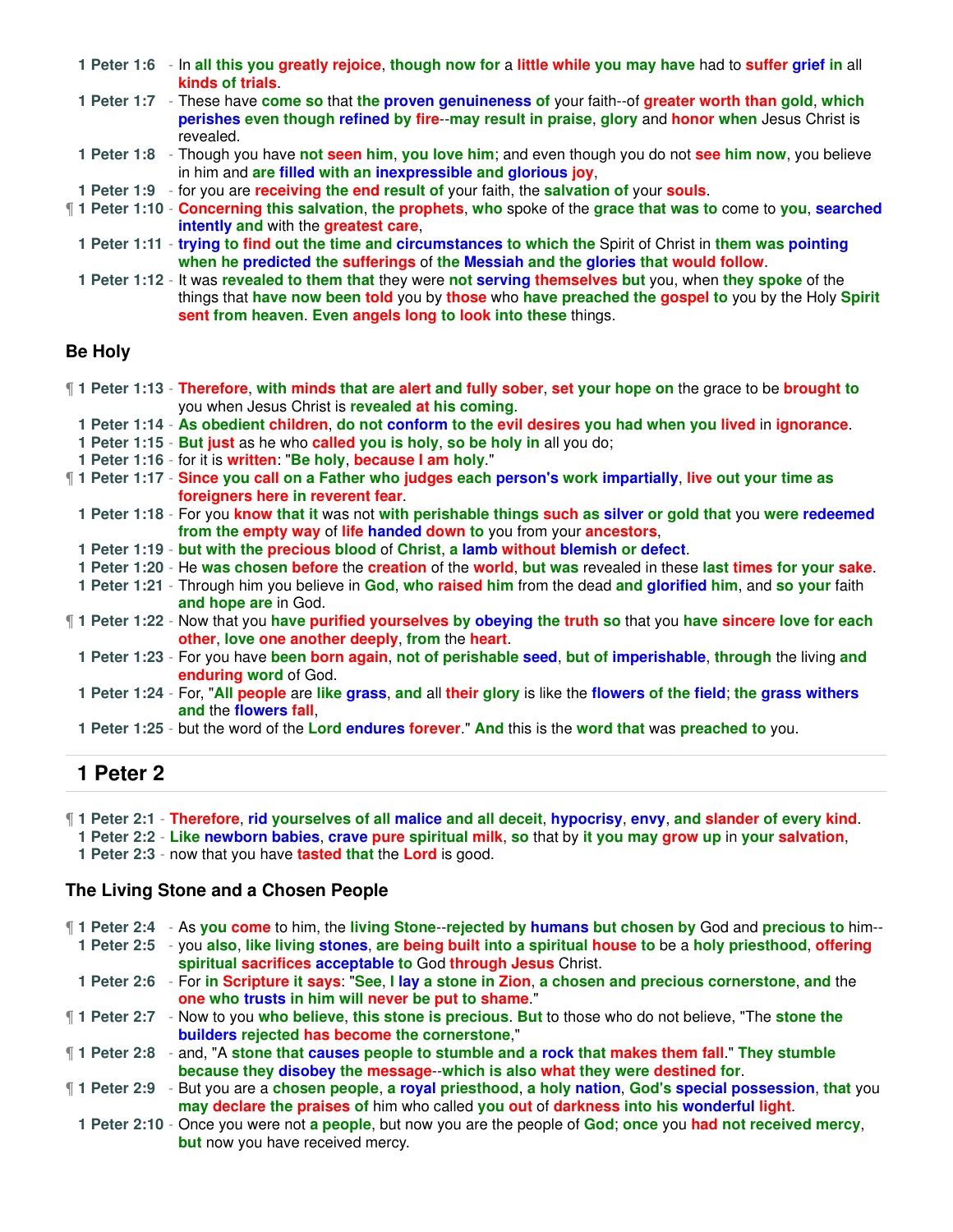|  | 1 Peter 1:6 - In all this you greatly rejoice, though now for a little while you may have had to suffer grief in all<br>kinds of trials                                                                                                                                             |
|--|-------------------------------------------------------------------------------------------------------------------------------------------------------------------------------------------------------------------------------------------------------------------------------------|
|  | 1 Peter 1:7 - These have come so that the proven genuineness of your faith-of greater worth than gold, which<br>perishes even though refined by fire--may result in praise, glory and honor when Jesus Christ is<br>revealed.                                                       |
|  | 1 Peter 1:8 - Though you have not seen him, you love him; and even though you do not see him now, you believe<br>in him and are filled with an inexpressible and glorious joy,                                                                                                      |
|  | 1 Peter 1:9 - for you are receiving the end result of your faith, the salvation of your souls.                                                                                                                                                                                      |
|  | 1 Peter 1:10 - Concerning this salvation, the prophets, who spoke of the grace that was to come to you, searched<br><b>intently and with the greatest care.</b>                                                                                                                     |
|  | 1 Peter 1:11 - trying to find out the time and circumstances to which the Spirit of Christ in them was pointing<br>when he predicted the sufferings of the Messiah and the glories that would follow.                                                                               |
|  | 1 Peter 1:12 - It was revealed to them that they were not serving themselves but you, when they spoke of the<br>things that have now been told you by those who have preached the gospel to you by the Holy Spirit<br>sent from heaven. Even angels long to look into these things. |

### **Be Holy**

| 1 Peter 1:13 - Therefore, with minds that are alert and fully sober, set your hope on the grace to be brought to                                                                                                               |
|--------------------------------------------------------------------------------------------------------------------------------------------------------------------------------------------------------------------------------|
| you when Jesus Christ is revealed at his coming.                                                                                                                                                                               |
| 1. Determined a character of determination of the outlet of the countries were presented at the test of the test of the second of the second of the second of the second of the second of the second of the second of the seco |

**1 Peter 1:14** - **As obedient children**, **do not conform to the evil desires you had when you lived** in **ignorance**.

- **1 Peter 1:15 But just** as he who **called you is holy**, **so be holy in** all you do;
- **1 Peter 1:16** for it is **written**: "**Be holy**, **because I am holy**."
- ¶ **1 Peter 1:17 Since you call on a Father who judges each person's work impartially**, **live out your time as foreigners here in reverent fear**.
	- **1 Peter 1:18** For you **know that it** was not **with perishable things such as silver or gold that** you **were redeemed from the empty way** of **life handed down to** you from your **ancestors**,
- **1 Peter 1:19 but with the precious blood** of **Christ**, **a lamb without blemish or defect**.
- **1 Peter 1:20** He **was chosen before** the **creation** of the **world**, **but was** revealed in these **last times for your sake**.
- **1 Peter 1:21** Through him you believe in **God**, **who raised him** from the dead **and glorified him**, and **so your** faith **and hope are** in God.
- ¶ **1 Peter 1:22** Now that you **have purified yourselves by obeying the truth so** that you **have sincere love for each other**, **love one another deeply**, **from** the **heart**.
- **1 Peter 1:23** For you have **been born again**, **not of perishable seed**, **but of imperishable**, **through** the living **and enduring word** of God.
- **1 Peter 1:24** For, "**All people** are **like grass**, **and** all **their glory** is like the **flowers of the field**; **the grass withers and** the **flowers fall**,
- **1 Peter 1:25** but the word of the **Lord endures forever**." **And** this is the **word that** was **preached to** you.

## **1 Peter 2**

¶ **1 Peter 2:1** - **Therefore**, **rid yourselves of all malice and all deceit**, **hypocrisy**, **envy**, **and slander of every kind**.

**1 Peter 2:2** - **Like newborn babies**, **crave pure spiritual milk**, **so** that by **it you may grow up** in **your salvation**,

**1 Peter 2:3** - now that you have **tasted that** the **Lord** is good.

### **The Living Stone and a Chosen People**

| 1 Peter 2:4 - As you come to him, the living Stone--rejected by humans but chosen by God and precious to him--          |
|-------------------------------------------------------------------------------------------------------------------------|
| 1 Peter 2:5 - you also, like living stones, are being built into a spiritual house to be a holy priesthood, offering    |
| spiritual sacrifices acceptable to God through Jesus Christ.                                                            |
| 1 Peter 2:6 - For in Scripture it says: "See, I lay a stone in Zion, a chosen and precious cornerstone, and the         |
| one who trusts in him will never be put to shame."                                                                      |
| ¶ 1 Peter 2:7 - Now to you who believe, this stone is precious. But to those who do not believe, "The stone the         |
| builders rejected has become the cornerstone,"                                                                          |
| <b>1</b> Peter 2:8 - and, "A stone that causes people to stumble and a rock that makes them fall." They stumble         |
| because they disobey the message--which is also what they were destined for.                                            |
| <b>1</b> Peter 2:9 - But you are a chosen people, a royal priesthood, a holy nation, God's special possession, that you |
| may declare the praises of him who called you out of darkness into his wonderful light.                                 |
| 1 Peter 2:10 - Once you were not a people, but now you are the people of God; once you had not received mercy,          |
| <b>but</b> now you have received mercy.                                                                                 |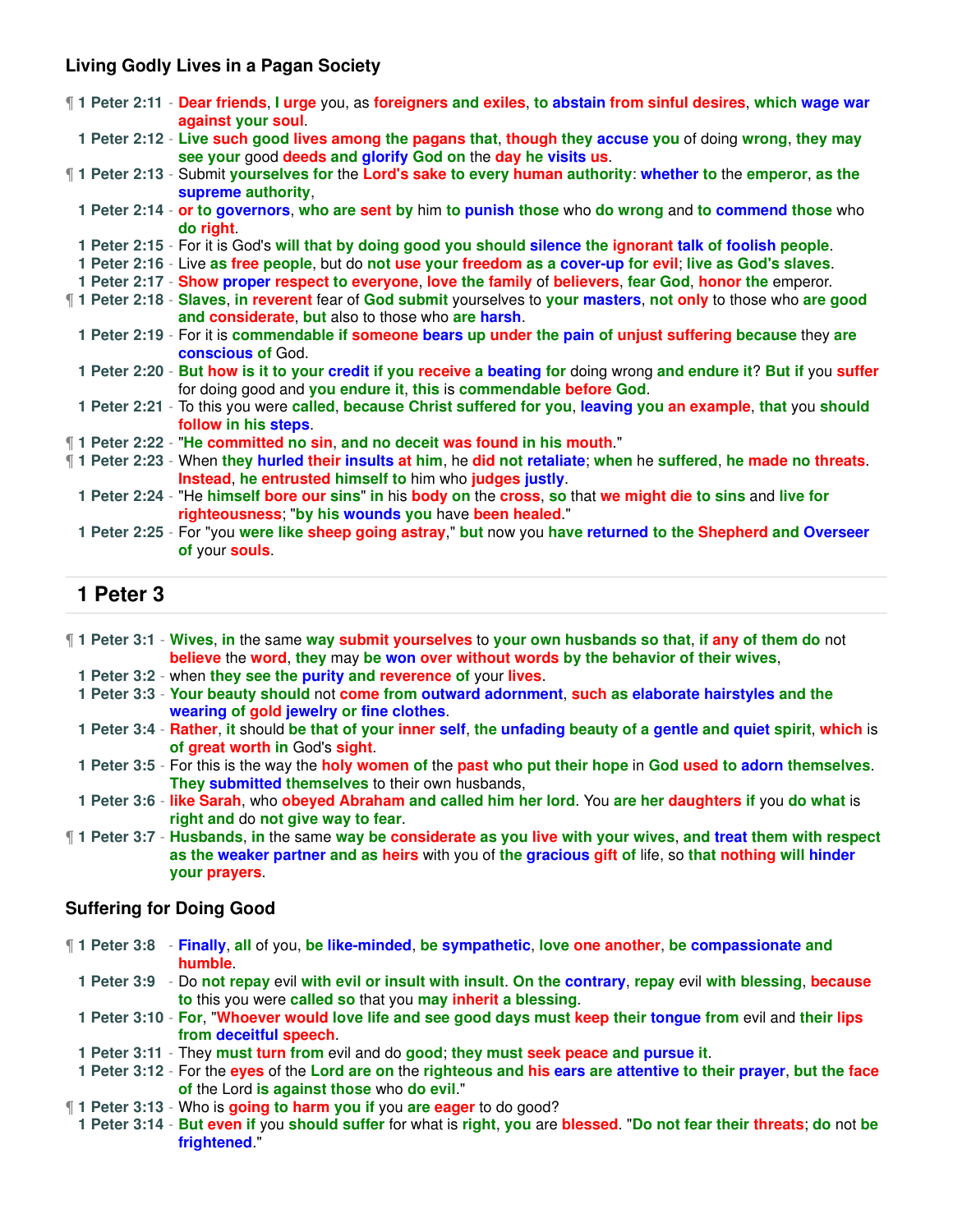### **Living Godly Lives in a Pagan Society**

|  | T1 Peter 2:11 - Dear friends, I urge you, as foreigners and exiles, to abstain from sinful desires, which wage war<br>against your soul.                                                   |
|--|--------------------------------------------------------------------------------------------------------------------------------------------------------------------------------------------|
|  | 1 Peter 2:12 - Live such good lives among the pagans that, though they accuse you of doing wrong, they may<br>see your good deeds and glorify God on the day he visits us.                 |
|  | 1 Peter 2:13 - Submit yourselves for the Lord's sake to every human authority: whether to the emperor, as the<br>supreme authority,                                                        |
|  | 1 Peter 2:14 - or to governors, who are sent by him to punish those who do wrong and to commend those who<br>do right.                                                                     |
|  | 1 Peter 2:15 - For it is God's will that by doing good you should silence the ignorant talk of foolish people.                                                                             |
|  | 1 Peter 2:16 - Live as free people, but do not use your freedom as a cover-up for evil; live as God's slaves.                                                                              |
|  | 1 Peter 2:17 - Show proper respect to everyone, love the family of believers, fear God, honor the emperor.                                                                                 |
|  | 1 Peter 2:18 - Slaves, in reverent fear of God submit yourselves to your masters, not only to those who are good<br>and considerate, but also to those who are harsh.                      |
|  | 1 Peter 2:19 - For it is commendable if someone bears up under the pain of unjust suffering because they are<br>conscious of God.                                                          |
|  | 1 Peter 2:20 - But how is it to your credit if you receive a beating for doing wrong and endure it? But if you suffer<br>for doing good and you endure it, this is commendable before God. |
|  | 1 Peter 2:21 - To this you were called, because Christ suffered for you, leaving you an example, that you should<br>follow in his steps.                                                   |
|  | 1 Peter 2:22 - "He committed no sin, and no deceit was found in his mouth."                                                                                                                |
|  | 1 Peter 2:23 - When they hurled their insults at him, he did not retaliate; when he suffered, he made no threats.<br>Instead, he entrusted himself to him who judges justly.               |
|  | 1 Peter 2:24 - "He himself bore our sins" in his body on the cross, so that we might die to sins and live for<br>righteousness; "by his wounds you have been healed."                      |
|  | 1 Peter 2:25 - For "you were like sheep going astray," but now you have returned to the Shepherd and Overseer<br>of your souls                                                             |

## **1 Peter 3**

| ¶ 1 Peter 3:1 - Wives, in the same way submit yourselves to your own husbands so that, if any of them do not |
|--------------------------------------------------------------------------------------------------------------|
| believe the word, they may be won over without words by the behavior of their wives,                         |

- **1 Peter 3:2** when **they see the purity and reverence of** your **lives**.
- **1 Peter 3:3 Your beauty should** not **come from outward adornment**, **such as elaborate hairstyles and the wearing of gold jewelry or fine clothes**.
- **1 Peter 3:4 Rather**, **it** should **be that of your inner self**, **the unfading beauty of a gentle and quiet spirit**, **which** is **of great worth in** God's **sight**.
- **1 Peter 3:5** For this is the way the **holy women of** the **past who put their hope** in **God used to adorn themselves**. **They submitted themselves** to their own husbands,
- **1 Peter 3:6 like Sarah**, who **obeyed Abraham and called him her lord**. You **are her daughters if** you **do what** is **right and** do **not give way to fear**.
- ¶ **1 Peter 3:7 Husbands**, **in** the same **way be considerate as you live with your wives**, **and treat them with respect as the weaker partner and as heirs** with you of **the gracious gift of** life, so **that nothing will hinder your prayers**.

### **Suffering for Doing Good**

- ¶ **1 Peter 3:8 Finally**, **all** of you, **be like-minded**, **be sympathetic**, **love one another**, **be compassionate and humble**.
	- **1 Peter 3:9** Do **not repay** evil **with evil or insult with insult**. **On the contrary**, **repay** evil **with blessing**, **because to** this you were **called so** that you **may inherit a blessing**.

**1 Peter 3:10** - **For**, "**Whoever would love life and see good days must keep their tongue from** evil and **their lips from deceitful speech**.

- **1 Peter 3:11** They **must turn from** evil and do **good**; **they must seek peace and pursue it**.
- **1 Peter 3:12** For the **eyes** of the **Lord are on** the **righteous and his ears are attentive to their prayer**, **but the face of** the Lord **is against those** who **do evil**."
- ¶ **1 Peter 3:13** Who is **going to harm you if** you **are eager** to do good?
- **1 Peter 3:14 But even if** you **should suffer** for what is **right**, **you** are **blessed**. "**Do not fear their threats**; **do** not **be frightened**."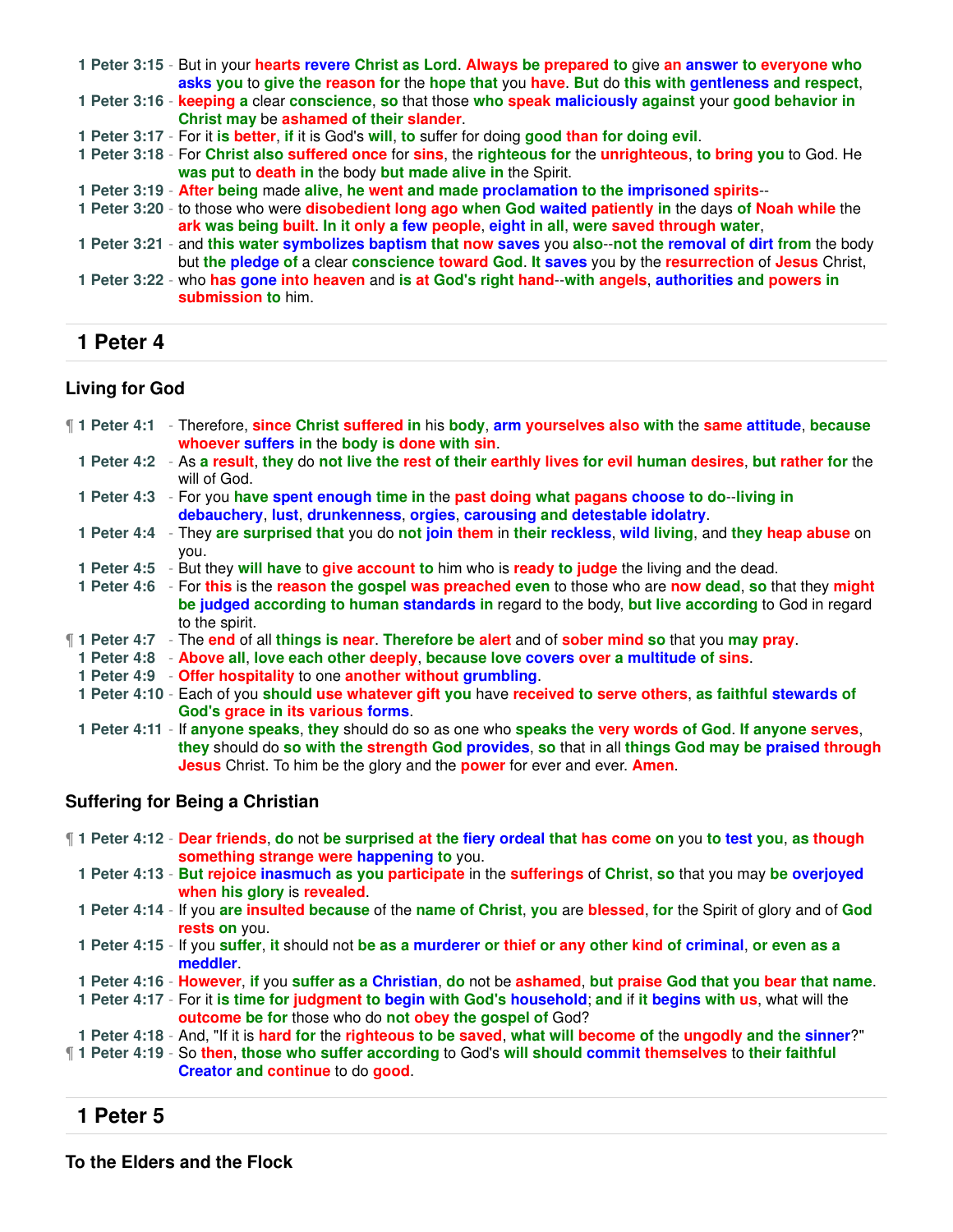| 1 Peter 3:15 - But in your hearts revere Christ as Lord. Always be prepared to give an answer to everyone who<br>asks you to give the reason for the hope that you have. But do this with gentleness and respect,     |
|-----------------------------------------------------------------------------------------------------------------------------------------------------------------------------------------------------------------------|
| 1 Peter 3:16 - keeping a clear conscience, so that those who speak maliciously against your good behavior in<br>Christ may be ashamed of their slander.                                                               |
| 1 Peter 3:17 - For it is better, if it is God's will, to suffer for doing good than for doing evil.                                                                                                                   |
| 1 Peter 3:18 - For Christ also suffered once for sins, the righteous for the unrighteous, to bring you to God. He<br>was put to death in the body but made alive in the Spirit.                                       |
| 1 Peter 3:19 - After being made alive, he went and made proclamation to the imprisoned spirits--                                                                                                                      |
| 1 Peter 3:20 - to those who were disobedient long ago when God waited patiently in the days of Noah while the<br>ark was being built. In it only a few people, eight in all, were saved through water,                |
| 1 Peter 3:21 - and this water symbolizes baptism that now saves you also--not the removal of dirt from the body<br>but the pledge of a clear conscience toward God. It saves you by the resurrection of Jesus Christ, |
| 1 Peter 3:22 - who has gone into heaven and is at God's right hand--with angels, authorities and powers in<br>submission to him.                                                                                      |

## **1 Peter 4**

## **Living for God**

| <b>1</b> Peter 4:1 - Therefore, since Christ suffered in his body, arm yourselves also with the same attitude, because<br>whoever suffers in the body is done with sin.                                                                                                                                               |
|-----------------------------------------------------------------------------------------------------------------------------------------------------------------------------------------------------------------------------------------------------------------------------------------------------------------------|
| 1 Peter 4:2 - As a result, they do not live the rest of their earthly lives for evil human desires, but rather for the<br>will of God.                                                                                                                                                                                |
| 1 Peter 4:3 - For you have spent enough time in the past doing what pagans choose to do-living in<br>debauchery, lust, drunkenness, orgies, carousing and detestable idolatry.                                                                                                                                        |
| 1 Peter 4:4 - They are surprised that you do not join them in their reckless, wild living, and they heap abuse on<br>you.                                                                                                                                                                                             |
| 1 Peter 4:5 - But they will have to give account to him who is ready to judge the living and the dead.                                                                                                                                                                                                                |
| 1 Peter 4:6 - For this is the reason the gospel was preached even to those who are now dead, so that they might<br>be judged according to human standards in regard to the body, but live according to God in regard<br>to the spirit.                                                                                |
| <b>1</b> Peter 4:7 - The end of all things is near. Therefore be alert and of sober mind so that you may pray.                                                                                                                                                                                                        |
| 1 Peter 4:8 - Above all, love each other deeply, because love covers over a multitude of sins.                                                                                                                                                                                                                        |
| 1 Peter 4:9 - Offer hospitality to one another without grumbling.                                                                                                                                                                                                                                                     |
| 1 Peter 4:10 - Each of you should use whatever gift you have received to serve others, as faithful stewards of                                                                                                                                                                                                        |
| God's grace in its various forms.                                                                                                                                                                                                                                                                                     |
| 1 Peter 4:11 - If anyone speaks, they should do so as one who speaks the very words of God. If anyone serves,<br>they should do so with the strength God provides, so that in all things God may be praised through<br><b>Jesus</b> Christ. To him be the glory and the <b>power</b> for ever and ever. <b>Amen</b> . |

## **Suffering for Being a Christian**

- ¶ **1 Peter 4:12 Dear friends**, **do** not **be surprised at the fiery ordeal that has come on** you **to test you**, **as though something strange were happening to** you.
	- **1 Peter 4:13 But rejoice inasmuch as you participate** in the **sufferings** of **Christ**, **so** that you may **be overjoyed when his glory** is **revealed**.
	- **1 Peter 4:14** If you **are insulted because** of the **name of Christ**, **you** are **blessed**, **for** the Spirit of glory and of **God rests on** you.
	- **1 Peter 4:15** If you **suffer**, **it** should not **be as a murderer or thief or any other kind of criminal**, **or even as a meddler**.
- **1 Peter 4:16 However**, **if** you **suffer as a Christian**, **do** not be **ashamed**, **but praise God that you bear that name**.
- **1 Peter 4:17** For it **is time for judgment to begin with God's household**; **and** if **it begins with us**, what will the **outcome be for** those who do **not obey the gospel of** God?
- **1 Peter 4:18** And, "If it is **hard for** the **righteous to be saved**, **what will become of** the **ungodly and the sinner**?"
- ¶ **1 Peter 4:19** So **then**, **those who suffer according** to God's **will should commit themselves** to **their faithful Creator and continue** to do **good**.

## **1 Peter 5**

**To the Elders and the Flock**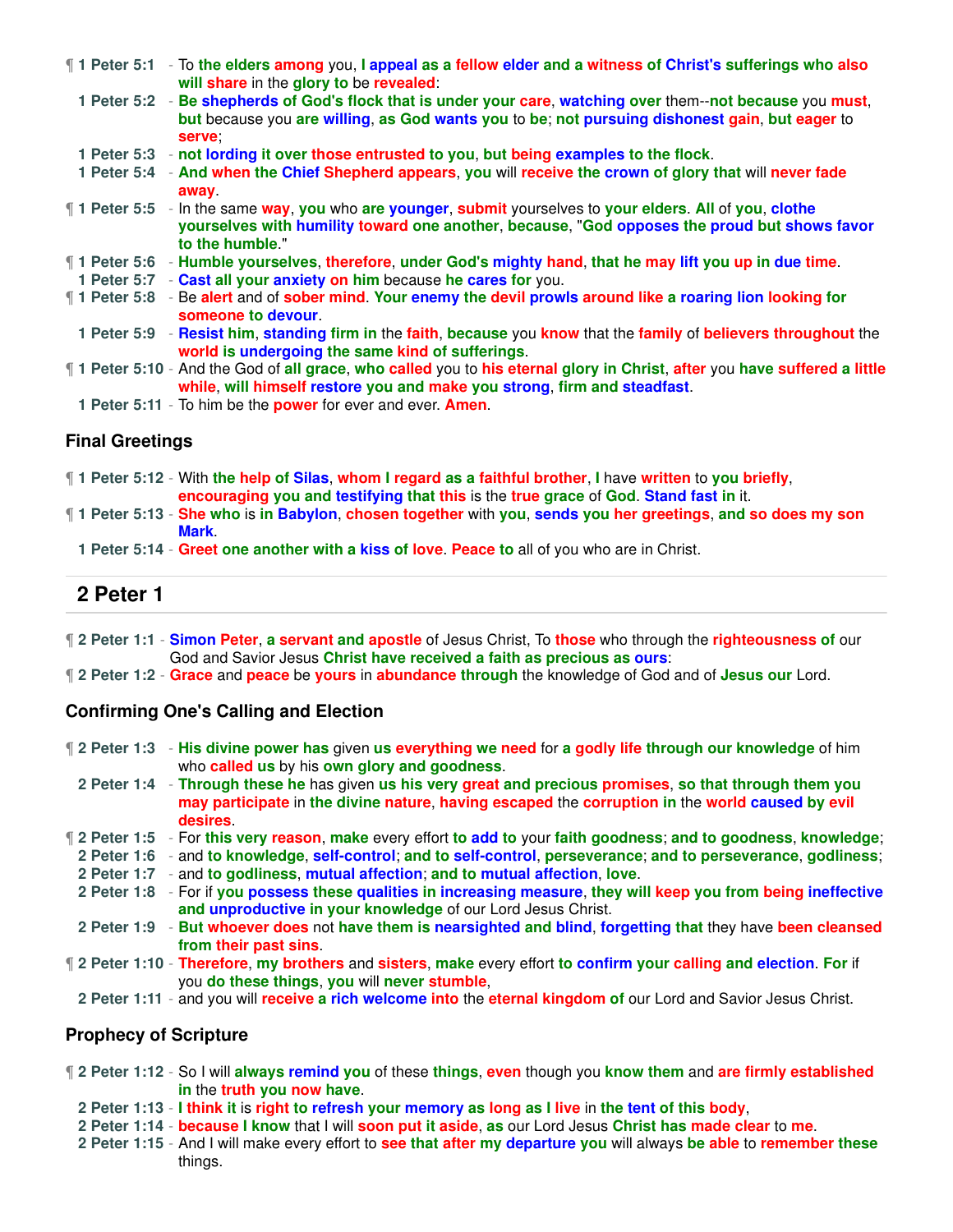| ¶ 1 Peter 5:1 - To the elders among you, I appeal as a fellow elder and a witness of Christ's sufferings who also<br>will share in the glory to be revealed:                                                                |
|-----------------------------------------------------------------------------------------------------------------------------------------------------------------------------------------------------------------------------|
| 1 Peter 5:2 - Be shepherds of God's flock that is under your care, watching over them--not because you must,<br>but because you are willing, as God wants you to be; not pursuing dishonest gain, but eager to<br>serve:    |
| 1 Peter 5:3 - not lording it over those entrusted to you, but being examples to the flock.                                                                                                                                  |
| 1 Peter 5:4 - And when the Chief Shepherd appears, you will receive the crown of glory that will never fade<br>away                                                                                                         |
| 1 Peter 5:5 - In the same way, you who are younger, submit yourselves to your elders. All of you, clothe<br>yourselves with humility toward one another, because, "God opposes the proud but shows favor<br>to the humble." |
| ¶ 1 Peter 5:6 F Humble yourselves, therefore, under God's mighty hand, that he may lift you up in due time.                                                                                                                 |
| 1 Peter 5:7 - Cast all your anxiety on him because he cares for you.                                                                                                                                                        |
| 1 Peter 5:8 - Be alert and of sober mind. Your enemy the devil prowls around like a roaring lion looking for<br>someone to devour.                                                                                          |
| 1 Peter 5:9 - Resist him, standing firm in the faith, because you know that the family of believers throughout the<br>world is undergoing the same kind of sufferings.                                                      |
| If 1 Peter 5:10 - And the God of all grace, who called you to his eternal glory in Christ, after you have suffered a little<br>while, will himself restore you and make you strong, firm and steadfast.                     |
| 1 Peter 5:11 - To him be the <b>power</b> for ever and ever. <b>Amen</b> .                                                                                                                                                  |

### **Final Greetings**

¶ **1 Peter 5:12** - With **the help of Silas**, **whom I regard as a faithful brother**, **I** have **written** to **you briefly**, **encouraging you and testifying that this** is the **true grace** of **God**. **Stand fast in** it.

¶ **1 Peter 5:13** - **She who** is **in Babylon**, **chosen together** with **you**, **sends you her greetings**, **and so does my son Mark**.

**1 Peter 5:14** - **Greet one another with a kiss of love**. **Peace to** all of you who are in Christ.

## **2 Peter 1**

- ¶ **2 Peter 1:1 Simon Peter**, **a servant and apostle** of Jesus Christ, To **those** who through the **righteousness of** our God and Savior Jesus **Christ have received a faith as precious as ours**:
- ¶ **2 Peter 1:2 Grace** and **peace** be **yours** in **abundance through** the knowledge of God and of **Jesus our** Lord.

#### **Confirming One's Calling and Election**

- ¶ **2 Peter 1:3 His divine power has** given **us everything we need** for **a godly life through our knowledge** of him who **called us** by his **own glory and goodness**.
- **2 Peter 1:4 Through these he** has given **us his very great and precious promises**, **so that through them you may participate** in **the divine nature**, **having escaped** the **corruption in** the **world caused by evil desires**.
- ¶ **2 Peter 1:5** For **this very reason**, **make** every effort **to add to** your **faith goodness**; **and to goodness**, **knowledge**;
- **2 Peter 1:6** and **to knowledge**, **self-control**; **and to self-control**, **perseverance**; **and to perseverance**, **godliness**;
- **2 Peter 1:7** and **to godliness**, **mutual affection**; **and to mutual affection**, **love**.
- **2 Peter 1:8** For if **you possess these qualities in increasing measure**, **they will keep you from being ineffective and unproductive in your knowledge** of our Lord Jesus Christ.
- **2 Peter 1:9 But whoever does** not **have them is nearsighted and blind**, **forgetting that** they have **been cleansed from their past sins**.
- ¶ **2 Peter 1:10 Therefore**, **my brothers** and **sisters**, **make** every effort **to confirm your calling and election**. **For** if you **do these things**, **you** will **never stumble**,
- **2 Peter 1:11** and you will **receive a rich welcome into** the **eternal kingdom of** our Lord and Savior Jesus Christ.

#### **Prophecy of Scripture**

- ¶ **2 Peter 1:12** So I will **always remind you** of these **things**, **even** though you **know them** and **are firmly established in** the **truth you now have**.
	- **2 Peter 1:13 I think it** is **right to refresh your memory as long as I live** in **the tent of this body**,
	- **2 Peter 1:14 because I know** that I will **soon put it aside**, **as** our Lord Jesus **Christ has made clear** to **me**.
	- **2 Peter 1:15** And I will make every effort to **see that after my departure you** will always **be able** to **remember these** things.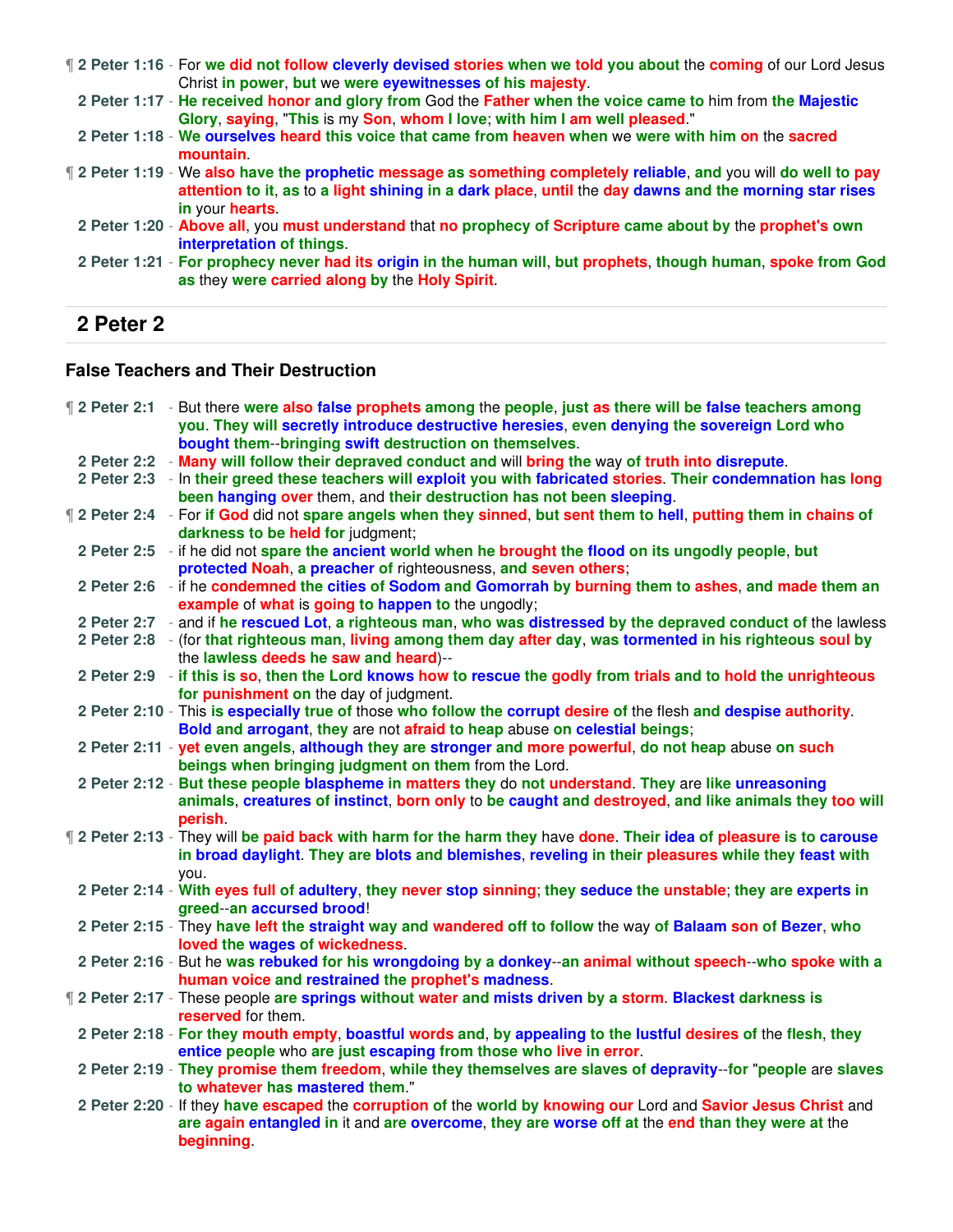¶ **2 Peter 1:16** - For **we did not follow cleverly devised stories when we told you about** the **coming** of our Lord Jesus Christ **in power**, **but** we **were eyewitnesses of his majesty**.

**2 Peter 1:17** - **He received honor and glory from** God the **Father when the voice came to** him from **the Majestic Glory**, **saying**, "**This** is my **Son**, **whom I love**; **with him I am well pleased**."

**2 Peter 1:18** - **We ourselves heard this voice that came from heaven when** we **were with him on** the **sacred mountain**.

- ¶ **2 Peter 1:19** We **also have the prophetic message as something completely reliable**, **and** you will **do well to pay attention to it**, **as** to **a light shining in a dark place**, **until** the **day dawns and the morning star rises in** your **hearts**.
- **2 Peter 1:20 Above all**, you **must understand** that **no prophecy of Scripture came about by** the **prophet's own interpretation of things**.

## **2 Peter 2**

#### **False Teachers and Their Destruction**

|  | <b>12 Peter 2:1</b> - But there were also false prophets among the people, just as there will be false teachers among<br>you. They will secretly introduce destructive heresies, even denying the sovereign Lord who<br>bought them--bringing swift destruction on themselves. |
|--|--------------------------------------------------------------------------------------------------------------------------------------------------------------------------------------------------------------------------------------------------------------------------------|
|  | 2 Peter 2:2 - Many will follow their depraved conduct and will bring the way of truth into disrepute.                                                                                                                                                                          |
|  | 2 Peter 2:3 - In their greed these teachers will exploit you with fabricated stories. Their condemnation has long                                                                                                                                                              |
|  | been hanging over them, and their destruction has not been sleeping.                                                                                                                                                                                                           |
|  | If 2 Peter 2:4 - For if God did not spare angels when they sinned, but sent them to hell, putting them in chains of                                                                                                                                                            |
|  | darkness to be held for judgment;                                                                                                                                                                                                                                              |
|  | 2 Peter 2:5 - if he did not spare the ancient world when he brought the flood on its ungodly people, but                                                                                                                                                                       |
|  | protected Noah, a preacher of righteousness, and seven others;                                                                                                                                                                                                                 |
|  | 2 Peter 2:6 - if he condemned the cities of Sodom and Gomorrah by burning them to ashes, and made them an                                                                                                                                                                      |
|  | example of what is going to happen to the ungodly;                                                                                                                                                                                                                             |
|  | 2 Peter 2:7 - and if he rescued Lot, a righteous man, who was distressed by the depraved conduct of the lawless                                                                                                                                                                |
|  | 2 Peter 2:8 - (for that righteous man, living among them day after day, was tormented in his righteous soul by                                                                                                                                                                 |
|  | the lawless deeds he saw and heard)--                                                                                                                                                                                                                                          |
|  | 2 Peter 2:9 - if this is so, then the Lord knows how to rescue the godly from trials and to hold the unrighteous                                                                                                                                                               |
|  | for punishment on the day of judgment.                                                                                                                                                                                                                                         |
|  | 2 Peter 2:10 - This is especially true of those who follow the corrupt desire of the flesh and despise authority.                                                                                                                                                              |
|  | Bold and arrogant, they are not afraid to heap abuse on celestial beings;                                                                                                                                                                                                      |
|  | 2 Peter 2:11 - yet even angels, although they are stronger and more powerful, do not heap abuse on such                                                                                                                                                                        |
|  | beings when bringing judgment on them from the Lord.                                                                                                                                                                                                                           |
|  | 2 Peter 2:12 - But these people blaspheme in matters they do not understand. They are like unreasoning                                                                                                                                                                         |
|  | animals, creatures of instinct, born only to be caught and destroyed, and like animals they too will                                                                                                                                                                           |
|  | perish.                                                                                                                                                                                                                                                                        |
|  | If 2 Peter 2:13 - They will be paid back with harm for the harm they have done. Their idea of pleasure is to carouse                                                                                                                                                           |
|  | in broad daylight. They are blots and blemishes, reveling in their pleasures while they feast with                                                                                                                                                                             |
|  | vou.                                                                                                                                                                                                                                                                           |
|  | 2 Peter 2:14 - With eyes full of adultery, they never stop sinning; they seduce the unstable; they are experts in                                                                                                                                                              |
|  | greed--an accursed brood!                                                                                                                                                                                                                                                      |
|  | 2 Peter 2:15 - They have left the straight way and wandered off to follow the way of Balaam son of Bezer, who                                                                                                                                                                  |
|  | loved the wages of wickedness.                                                                                                                                                                                                                                                 |
|  | 2 Peter 2:16 - But he was rebuked for his wrongdoing by a donkey--an animal without speech--who spoke with a                                                                                                                                                                   |
|  | human voice and restrained the prophet's madness.                                                                                                                                                                                                                              |
|  | <b>12 Peter 2:17 - These people are springs without water and mists driven by a storm. Blackest darkness is</b>                                                                                                                                                                |
|  | reserved for them.                                                                                                                                                                                                                                                             |
|  | 2 Peter 2:18 - For they mouth empty, boastful words and, by appealing to the lustful desires of the flesh, they                                                                                                                                                                |
|  | entice people who are just escaping from those who live in error.                                                                                                                                                                                                              |
|  | 2 Peter 2:19 - They promise them freedom, while they themselves are slaves of depravity--for "people are slaves                                                                                                                                                                |
|  | to whatever has mastered them."                                                                                                                                                                                                                                                |
|  | 2 Peter 2:20 - If they have escaped the corruption of the world by knowing our Lord and Savior Jesus Christ and                                                                                                                                                                |
|  | are again entangled in it and are overcome, they are worse off at the end than they were at the                                                                                                                                                                                |
|  | beginning.                                                                                                                                                                                                                                                                     |
|  |                                                                                                                                                                                                                                                                                |

**<sup>2</sup> Peter 1:21** - **For prophecy never had its origin in the human will**, **but prophets**, **though human**, **spoke from God as** they **were carried along by** the **Holy Spirit**.